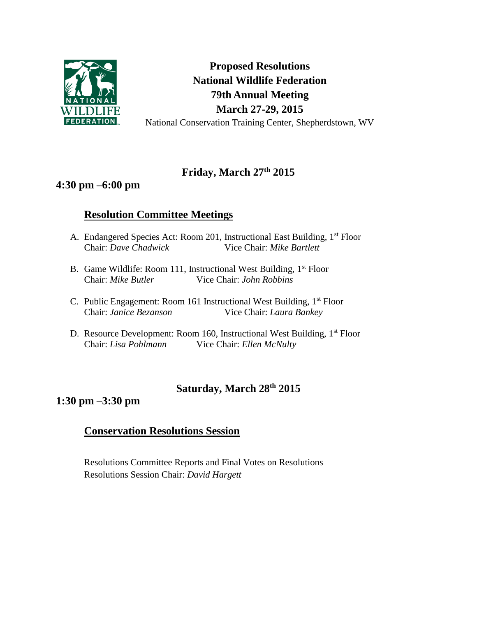

**Proposed Resolutions National Wildlife Federation 79th Annual Meeting March 27-29, 2015** National Conservation Training Center, Shepherdstown, WV

# **Friday, March 27th 2015**

## **4:30 pm –6:00 pm**

# **Resolution Committee Meetings**

- A. Endangered Species Act: Room 201, Instructional East Building, 1<sup>st</sup> Floor Chair: *Dave Chadwick* Vice Chair: *Mike Bartlett*
- B. Game Wildlife: Room 111, Instructional West Building,  $1<sup>st</sup>$  Floor Chair: *Mike Butler* Vice Chair: *John Robbins*
- C. Public Engagement: Room 161 Instructional West Building, 1<sup>st</sup> Floor Chair: *Janice Bezanson* Vice Chair: *Laura Bankey*
- D. Resource Development: Room 160, Instructional West Building, 1<sup>st</sup> Floor Chair: *Lisa Pohlmann* Vice Chair: *Ellen McNulty*

# **Saturday, March 28th 2015**

# **1:30 pm –3:30 pm**

## **Conservation Resolutions Session**

Resolutions Committee Reports and Final Votes on Resolutions Resolutions Session Chair: *David Hargett*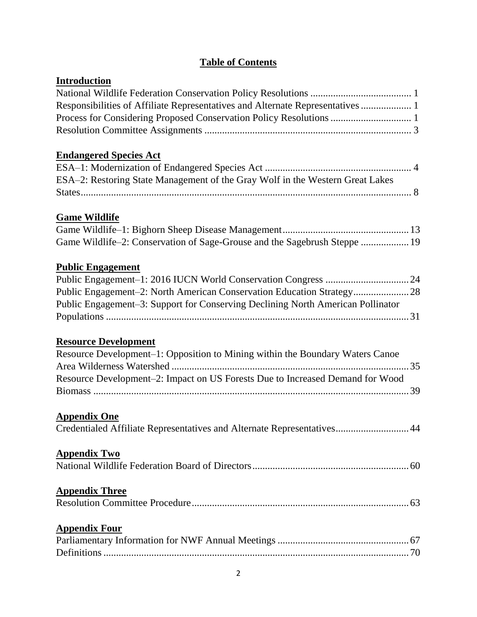# **Table of Contents**

| <b>Introduction</b>                                                             |
|---------------------------------------------------------------------------------|
|                                                                                 |
| Responsibilities of Affiliate Representatives and Alternate Representatives  1  |
| Process for Considering Proposed Conservation Policy Resolutions  1             |
|                                                                                 |
| <b>Endangered Species Act</b>                                                   |
|                                                                                 |
| ESA-2: Restoring State Management of the Gray Wolf in the Western Great Lakes   |
|                                                                                 |
| <b>Game Wildlife</b>                                                            |
|                                                                                 |
| Game Wildlife-2: Conservation of Sage-Grouse and the Sagebrush Steppe  19       |
| <b>Public Engagement</b>                                                        |
|                                                                                 |
| Public Engagement-2: North American Conservation Education Strategy 28          |
| Public Engagement-3: Support for Conserving Declining North American Pollinator |
|                                                                                 |
| <b>Resource Development</b>                                                     |
| Resource Development-1: Opposition to Mining within the Boundary Waters Canoe   |
|                                                                                 |
| Resource Development-2: Impact on US Forests Due to Increased Demand for Wood   |
|                                                                                 |
| <b>Appendix One</b>                                                             |
| Credentialed Affiliate Representatives and Alternate Representatives 44         |
| <u>Appendix Two</u>                                                             |
|                                                                                 |
| <b>Appendix Three</b>                                                           |
|                                                                                 |
| <b>Appendix Four</b>                                                            |
|                                                                                 |
|                                                                                 |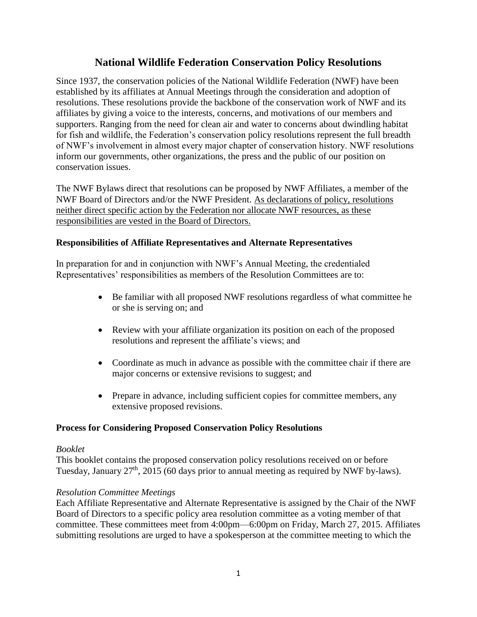### **National Wildlife Federation Conservation Policy Resolutions**

Since 1937, the conservation policies of the National Wildlife Federation (NWF) have been established by its affiliates at Annual Meetings through the consideration and adoption of resolutions. These resolutions provide the backbone of the conservation work of NWF and its affiliates by giving a voice to the interests, concerns, and motivations of our members and supporters. Ranging from the need for clean air and water to concerns about dwindling habitat for fish and wildlife, the Federation's conservation policy resolutions represent the full breadth of NWF's involvement in almost every major chapter of conservation history. NWF resolutions inform our governments, other organizations, the press and the public of our position on conservation issues.

The NWF Bylaws direct that resolutions can be proposed by NWF Affiliates, a member of the NWF Board of Directors and/or the NWF President. As declarations of policy, resolutions neither direct specific action by the Federation nor allocate NWF resources, as these responsibilities are vested in the Board of Directors.

#### **Responsibilities of Affiliate Representatives and Alternate Representatives**

In preparation for and in conjunction with NWF's Annual Meeting, the credentialed Representatives' responsibilities as members of the Resolution Committees are to:

- Be familiar with all proposed NWF resolutions regardless of what committee he or she is serving on; and
- Review with your affiliate organization its position on each of the proposed resolutions and represent the affiliate's views; and
- Coordinate as much in advance as possible with the committee chair if there are major concerns or extensive revisions to suggest; and
- Prepare in advance, including sufficient copies for committee members, any extensive proposed revisions.

#### **Process for Considering Proposed Conservation Policy Resolutions**

#### *Booklet*

This booklet contains the proposed conservation policy resolutions received on or before Tuesday, January 27<sup>th</sup>, 2015 (60 days prior to annual meeting as required by NWF by-laws).

#### *Resolution Committee Meetings*

Each Affiliate Representative and Alternate Representative is assigned by the Chair of the NWF Board of Directors to a specific policy area resolution committee as a voting member of that committee. These committees meet from 4:00pm—6:00pm on Friday, March 27, 2015. Affiliates submitting resolutions are urged to have a spokesperson at the committee meeting to which the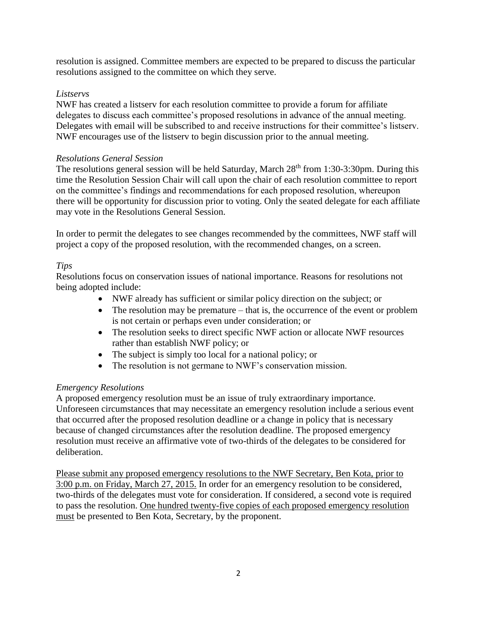resolution is assigned. Committee members are expected to be prepared to discuss the particular resolutions assigned to the committee on which they serve.

### *Listservs*

NWF has created a listserv for each resolution committee to provide a forum for affiliate delegates to discuss each committee's proposed resolutions in advance of the annual meeting. Delegates with email will be subscribed to and receive instructions for their committee's listserv. NWF encourages use of the listserv to begin discussion prior to the annual meeting.

#### *Resolutions General Session*

The resolutions general session will be held Saturday, March 28<sup>th</sup> from 1:30-3:30pm. During this time the Resolution Session Chair will call upon the chair of each resolution committee to report on the committee's findings and recommendations for each proposed resolution, whereupon there will be opportunity for discussion prior to voting. Only the seated delegate for each affiliate may vote in the Resolutions General Session.

In order to permit the delegates to see changes recommended by the committees, NWF staff will project a copy of the proposed resolution, with the recommended changes, on a screen.

#### *Tips*

Resolutions focus on conservation issues of national importance. Reasons for resolutions not being adopted include:

- NWF already has sufficient or similar policy direction on the subject; or
- $\bullet$  The resolution may be premature that is, the occurrence of the event or problem is not certain or perhaps even under consideration; or
- The resolution seeks to direct specific NWF action or allocate NWF resources rather than establish NWF policy; or
- The subject is simply too local for a national policy; or
- The resolution is not germane to NWF's conservation mission.

### *Emergency Resolutions*

A proposed emergency resolution must be an issue of truly extraordinary importance. Unforeseen circumstances that may necessitate an emergency resolution include a serious event that occurred after the proposed resolution deadline or a change in policy that is necessary because of changed circumstances after the resolution deadline. The proposed emergency resolution must receive an affirmative vote of two-thirds of the delegates to be considered for deliberation.

Please submit any proposed emergency resolutions to the NWF Secretary, Ben Kota, prior to 3:00 p.m. on Friday, March 27, 2015. In order for an emergency resolution to be considered, two-thirds of the delegates must vote for consideration. If considered, a second vote is required to pass the resolution. One hundred twenty-five copies of each proposed emergency resolution must be presented to Ben Kota, Secretary, by the proponent.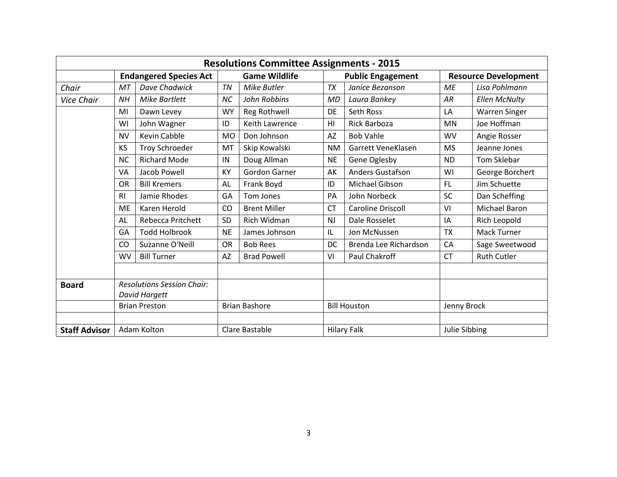|                      | <b>Resolutions Committee Assignments - 2015</b> |                                   |                      |                       |                     |                          |               |                             |  |
|----------------------|-------------------------------------------------|-----------------------------------|----------------------|-----------------------|---------------------|--------------------------|---------------|-----------------------------|--|
|                      | <b>Endangered Species Act</b>                   |                                   |                      | <b>Game Wildlife</b>  |                     | <b>Public Engagement</b> |               | <b>Resource Development</b> |  |
| Chair                | MT                                              | Dave Chadwick                     | TN                   | Mike Butler           | <b>TX</b>           | Janice Bezanson          | ME            | Lisa Pohlmann               |  |
| <b>Vice Chair</b>    | <b>NH</b>                                       | <b>Mike Bartlett</b>              | <b>NC</b>            | John Robbins          | <b>MD</b>           | Laura Bankey             | AR            | <b>Ellen McNulty</b>        |  |
|                      | MI                                              | Dawn Levey                        | <b>WY</b>            | Reg Rothwell          | DE                  | Seth Ross                | LA            | <b>Warren Singer</b>        |  |
|                      | WI                                              | John Wagner                       | ID                   | <b>Keith Lawrence</b> | H <sub>l</sub>      | <b>Rick Barboza</b>      | <b>MN</b>     | Joe Hoffman                 |  |
|                      | <b>NV</b>                                       | Kevin Cabble                      | <b>MO</b>            | Don Johnson           | <b>AZ</b>           | <b>Bob Vahle</b>         | <b>WV</b>     | Angie Rosser                |  |
|                      | KS                                              | <b>Troy Schroeder</b>             | MT                   | Skip Kowalski         | <b>NM</b>           | Garrett VeneKlasen       | <b>MS</b>     | Jeanne Jones                |  |
|                      | <b>NC</b>                                       | <b>Richard Mode</b>               | IN                   | Doug Allman           | <b>NE</b>           | Gene Oglesby             | <b>ND</b>     | Tom Sklebar                 |  |
|                      | VA                                              | Jacob Powell                      | KY                   | <b>Gordon Garner</b>  | AK                  | <b>Anders Gustafson</b>  | WI            | George Borchert             |  |
|                      | OR                                              | <b>Bill Kremers</b>               | <b>AL</b>            | Frank Boyd            | ID                  | Michael Gibson           | FL            | Jim Schuette                |  |
|                      | R <sub>l</sub>                                  | Jamie Rhodes                      | GA                   | Tom Jones             | PA                  | John Norbeck             | <b>SC</b>     | Dan Scheffing               |  |
|                      | <b>ME</b>                                       | Karen Herold                      | CO                   | <b>Brent Miller</b>   | <b>CT</b>           | <b>Caroline Driscoll</b> | VI            | Michael Baron               |  |
|                      | AL                                              | <b>Rebecca Pritchett</b>          | SD                   | Rich Widman           | <b>NJ</b>           | Dale Rosselet            | ΙA            | Rich Leopold                |  |
|                      | GA                                              | <b>Todd Holbrook</b>              | <b>NE</b>            | James Johnson         | IL.                 | Jon McNussen             | <b>TX</b>     | Mack Turner                 |  |
|                      | CO                                              | Suzanne O'Neill                   | OR                   | <b>Bob Rees</b>       | DC                  | Brenda Lee Richardson    | CA            | Sage Sweetwood              |  |
|                      | <b>WV</b>                                       | <b>Bill Turner</b>                | AZ                   | <b>Brad Powell</b>    | VI                  | Paul Chakroff            | <b>CT</b>     | <b>Ruth Cutler</b>          |  |
|                      |                                                 |                                   |                      |                       |                     |                          |               |                             |  |
| <b>Board</b>         |                                                 | <b>Resolutions Session Chair:</b> |                      |                       |                     |                          |               |                             |  |
|                      | David Hargett                                   |                                   |                      |                       |                     |                          |               |                             |  |
|                      | <b>Brian Preston</b>                            |                                   | <b>Brian Bashore</b> |                       | <b>Bill Houston</b> |                          | Jenny Brock   |                             |  |
|                      |                                                 |                                   |                      |                       |                     |                          |               |                             |  |
| <b>Staff Advisor</b> |                                                 | Adam Kolton                       |                      | Clare Bastable        |                     | <b>Hilary Falk</b>       | Julie Sibbing |                             |  |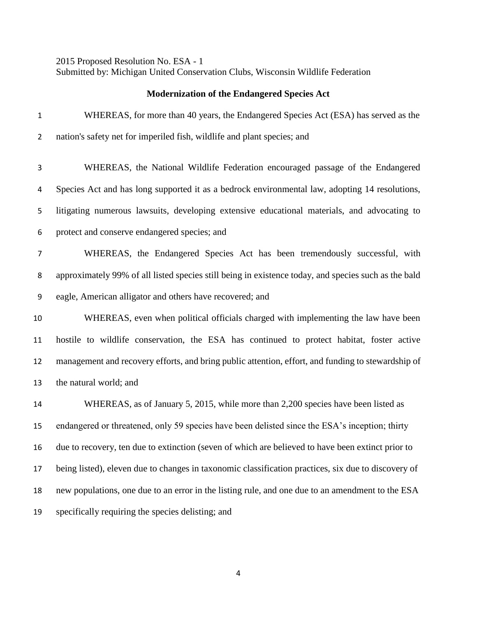2015 Proposed Resolution No. ESA - 1 Submitted by: Michigan United Conservation Clubs, Wisconsin Wildlife Federation

### **Modernization of the Endangered Species Act**

| $\mathbf{1}$   | WHEREAS, for more than 40 years, the Endangered Species Act (ESA) has served as the                  |
|----------------|------------------------------------------------------------------------------------------------------|
| $\overline{2}$ | nation's safety net for imperiled fish, wildlife and plant species; and                              |
| 3              | WHEREAS, the National Wildlife Federation encouraged passage of the Endangered                       |
| 4              | Species Act and has long supported it as a bedrock environmental law, adopting 14 resolutions,       |
| 5              | litigating numerous lawsuits, developing extensive educational materials, and advocating to          |
| 6              | protect and conserve endangered species; and                                                         |
| 7              | WHEREAS, the Endangered Species Act has been tremendously successful, with                           |
| 8              | approximately 99% of all listed species still being in existence today, and species such as the bald |
| 9              | eagle, American alligator and others have recovered; and                                             |
| 10             | WHEREAS, even when political officials charged with implementing the law have been                   |
| 11             | hostile to wildlife conservation, the ESA has continued to protect habitat, foster active            |
| 12             | management and recovery efforts, and bring public attention, effort, and funding to stewardship of   |
| 13             | the natural world; and                                                                               |
| 14             | WHEREAS, as of January 5, 2015, while more than 2,200 species have been listed as                    |
| 15             | endangered or threatened, only 59 species have been delisted since the ESA's inception; thirty       |
| 16             | due to recovery, ten due to extinction (seven of which are believed to have been extinct prior to    |
| 17             | being listed), eleven due to changes in taxonomic classification practices, six due to discovery of  |
| 18             | new populations, one due to an error in the listing rule, and one due to an amendment to the ESA     |
| 19             | specifically requiring the species delisting; and                                                    |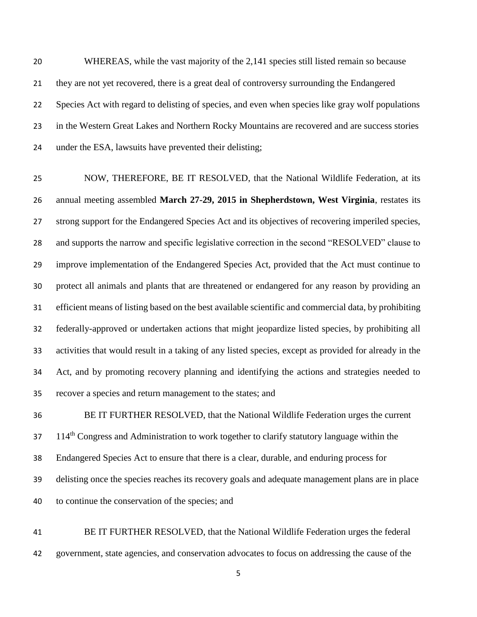WHEREAS, while the vast majority of the 2,141 species still listed remain so because they are not yet recovered, there is a great deal of controversy surrounding the Endangered Species Act with regard to delisting of species, and even when species like gray wolf populations in the Western Great Lakes and Northern Rocky Mountains are recovered and are success stories under the ESA, lawsuits have prevented their delisting;

 NOW, THEREFORE, BE IT RESOLVED, that the National Wildlife Federation, at its annual meeting assembled **March 27-29, 2015 in Shepherdstown, West Virginia**, restates its strong support for the Endangered Species Act and its objectives of recovering imperiled species, and supports the narrow and specific legislative correction in the second "RESOLVED" clause to improve implementation of the Endangered Species Act, provided that the Act must continue to protect all animals and plants that are threatened or endangered for any reason by providing an efficient means of listing based on the best available scientific and commercial data, by prohibiting federally-approved or undertaken actions that might jeopardize listed species, by prohibiting all activities that would result in a taking of any listed species, except as provided for already in the Act, and by promoting recovery planning and identifying the actions and strategies needed to recover a species and return management to the states; and

 BE IT FURTHER RESOLVED, that the National Wildlife Federation urges the current 114<sup>th</sup> Congress and Administration to work together to clarify statutory language within the Endangered Species Act to ensure that there is a clear, durable, and enduring process for delisting once the species reaches its recovery goals and adequate management plans are in place to continue the conservation of the species; and

 BE IT FURTHER RESOLVED, that the National Wildlife Federation urges the federal government, state agencies, and conservation advocates to focus on addressing the cause of the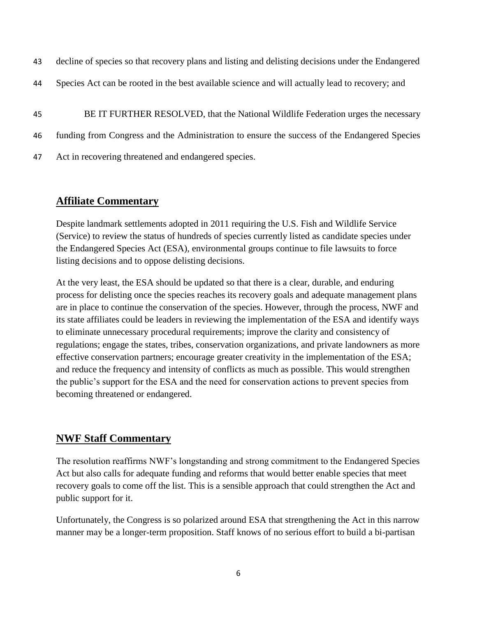|  |  |  |  | 43 decline of species so that recovery plans and listing and delisting decisions under the Endangered |  |
|--|--|--|--|-------------------------------------------------------------------------------------------------------|--|
|  |  |  |  |                                                                                                       |  |

- 44 Species Act can be rooted in the best available science and will actually lead to recovery; and
- 45 BE IT FURTHER RESOLVED, that the National Wildlife Federation urges the necessary 46 funding from Congress and the Administration to ensure the success of the Endangered Species 47 Act in recovering threatened and endangered species.

### **Affiliate Commentary**

Despite landmark settlements adopted in 2011 requiring the U.S. Fish and Wildlife Service (Service) to review the status of hundreds of species currently listed as candidate species under the Endangered Species Act (ESA), environmental groups continue to file lawsuits to force listing decisions and to oppose delisting decisions.

At the very least, the ESA should be updated so that there is a clear, durable, and enduring process for delisting once the species reaches its recovery goals and adequate management plans are in place to continue the conservation of the species. However, through the process, NWF and its state affiliates could be leaders in reviewing the implementation of the ESA and identify ways to eliminate unnecessary procedural requirements; improve the clarity and consistency of regulations; engage the states, tribes, conservation organizations, and private landowners as more effective conservation partners; encourage greater creativity in the implementation of the ESA; and reduce the frequency and intensity of conflicts as much as possible. This would strengthen the public's support for the ESA and the need for conservation actions to prevent species from becoming threatened or endangered.

### **NWF Staff Commentary**

The resolution reaffirms NWF's longstanding and strong commitment to the Endangered Species Act but also calls for adequate funding and reforms that would better enable species that meet recovery goals to come off the list. This is a sensible approach that could strengthen the Act and public support for it.

Unfortunately, the Congress is so polarized around ESA that strengthening the Act in this narrow manner may be a longer-term proposition. Staff knows of no serious effort to build a bi-partisan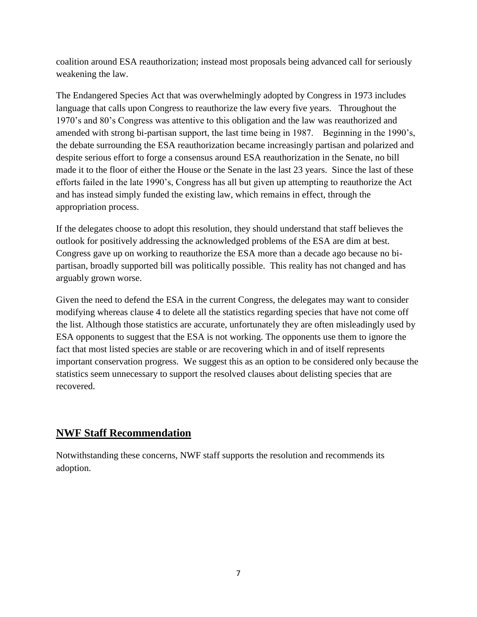coalition around ESA reauthorization; instead most proposals being advanced call for seriously weakening the law.

The Endangered Species Act that was overwhelmingly adopted by Congress in 1973 includes language that calls upon Congress to reauthorize the law every five years. Throughout the 1970's and 80's Congress was attentive to this obligation and the law was reauthorized and amended with strong bi-partisan support, the last time being in 1987. Beginning in the 1990's, the debate surrounding the ESA reauthorization became increasingly partisan and polarized and despite serious effort to forge a consensus around ESA reauthorization in the Senate, no bill made it to the floor of either the House or the Senate in the last 23 years. Since the last of these efforts failed in the late 1990's, Congress has all but given up attempting to reauthorize the Act and has instead simply funded the existing law, which remains in effect, through the appropriation process.

If the delegates choose to adopt this resolution, they should understand that staff believes the outlook for positively addressing the acknowledged problems of the ESA are dim at best. Congress gave up on working to reauthorize the ESA more than a decade ago because no bipartisan, broadly supported bill was politically possible. This reality has not changed and has arguably grown worse.

Given the need to defend the ESA in the current Congress, the delegates may want to consider modifying whereas clause 4 to delete all the statistics regarding species that have not come off the list. Although those statistics are accurate, unfortunately they are often misleadingly used by ESA opponents to suggest that the ESA is not working. The opponents use them to ignore the fact that most listed species are stable or are recovering which in and of itself represents important conservation progress. We suggest this as an option to be considered only because the statistics seem unnecessary to support the resolved clauses about delisting species that are recovered.

## **NWF Staff Recommendation**

Notwithstanding these concerns, NWF staff supports the resolution and recommends its adoption.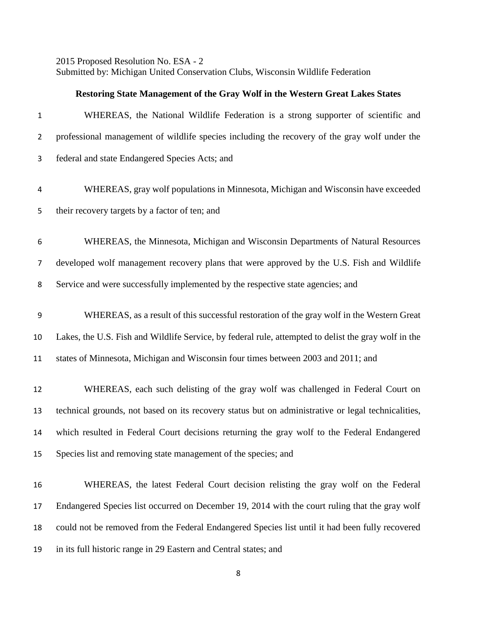2015 Proposed Resolution No. ESA - 2 Submitted by: Michigan United Conservation Clubs, Wisconsin Wildlife Federation

#### **Restoring State Management of the Gray Wolf in the Western Great Lakes States**

| $\mathbf{1}$   | WHEREAS, the National Wildlife Federation is a strong supporter of scientific and                    |
|----------------|------------------------------------------------------------------------------------------------------|
| $\overline{2}$ | professional management of wildlife species including the recovery of the gray wolf under the        |
| 3              | federal and state Endangered Species Acts; and                                                       |
| 4              | WHEREAS, gray wolf populations in Minnesota, Michigan and Wisconsin have exceeded                    |
| 5              | their recovery targets by a factor of ten; and                                                       |
| 6              | WHEREAS, the Minnesota, Michigan and Wisconsin Departments of Natural Resources                      |
| $\overline{7}$ | developed wolf management recovery plans that were approved by the U.S. Fish and Wildlife            |
| 8              | Service and were successfully implemented by the respective state agencies; and                      |
| 9              | WHEREAS, as a result of this successful restoration of the gray wolf in the Western Great            |
| 10             | Lakes, the U.S. Fish and Wildlife Service, by federal rule, attempted to delist the gray wolf in the |
| 11             | states of Minnesota, Michigan and Wisconsin four times between 2003 and 2011; and                    |
| 12             | WHEREAS, each such delisting of the gray wolf was challenged in Federal Court on                     |
| 13             | technical grounds, not based on its recovery status but on administrative or legal technicalities,   |
| 14             | which resulted in Federal Court decisions returning the gray wolf to the Federal Endangered          |
| 15             | Species list and removing state management of the species; and                                       |
| 16             | WHEREAS, the latest Federal Court decision relisting the gray wolf on the Federal                    |
| 17             | Endangered Species list occurred on December 19, 2014 with the court ruling that the gray wolf       |
| 18             | could not be removed from the Federal Endangered Species list until it had been fully recovered      |
| 19             | in its full historic range in 29 Eastern and Central states; and                                     |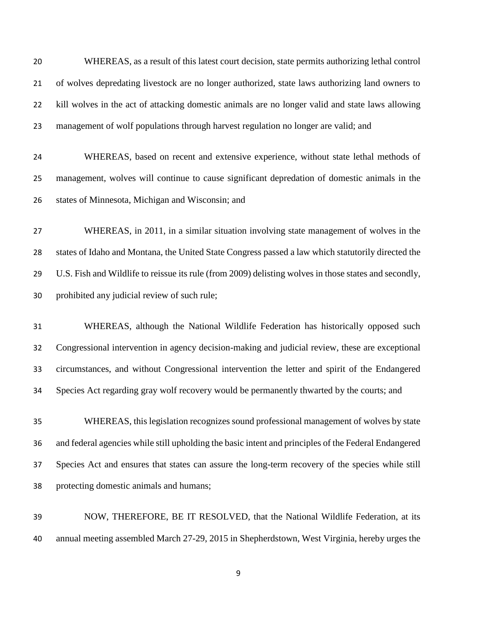WHEREAS, as a result of this latest court decision, state permits authorizing lethal control of wolves depredating livestock are no longer authorized, state laws authorizing land owners to kill wolves in the act of attacking domestic animals are no longer valid and state laws allowing management of wolf populations through harvest regulation no longer are valid; and

 WHEREAS, based on recent and extensive experience, without state lethal methods of management, wolves will continue to cause significant depredation of domestic animals in the states of Minnesota, Michigan and Wisconsin; and

 WHEREAS, in 2011, in a similar situation involving state management of wolves in the states of Idaho and Montana, the United State Congress passed a law which statutorily directed the U.S. Fish and Wildlife to reissue its rule (from 2009) delisting wolves in those states and secondly, prohibited any judicial review of such rule;

 WHEREAS, although the National Wildlife Federation has historically opposed such Congressional intervention in agency decision-making and judicial review, these are exceptional circumstances, and without Congressional intervention the letter and spirit of the Endangered Species Act regarding gray wolf recovery would be permanently thwarted by the courts; and

 WHEREAS, this legislation recognizes sound professional management of wolves by state and federal agencies while still upholding the basic intent and principles of the Federal Endangered Species Act and ensures that states can assure the long-term recovery of the species while still protecting domestic animals and humans;

 NOW, THEREFORE, BE IT RESOLVED, that the National Wildlife Federation, at its annual meeting assembled March 27-29, 2015 in Shepherdstown, West Virginia, hereby urges the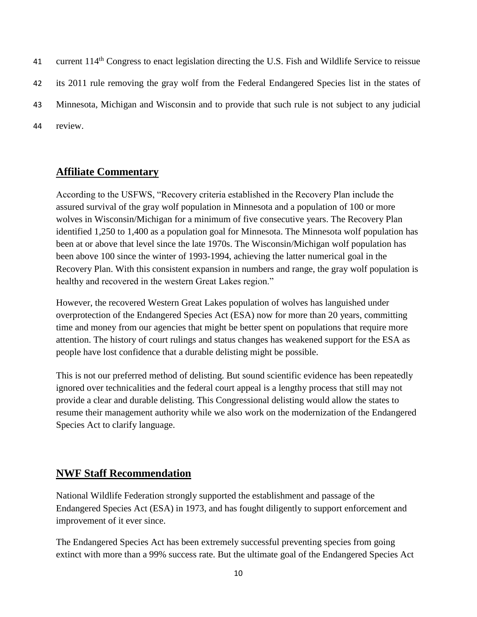41 current 114<sup>th</sup> Congress to enact legislation directing the U.S. Fish and Wildlife Service to reissue 42 its 2011 rule removing the gray wolf from the Federal Endangered Species list in the states of 43 Minnesota, Michigan and Wisconsin and to provide that such rule is not subject to any judicial 44 review.

## **Affiliate Commentary**

According to the USFWS, "Recovery criteria established in the Recovery Plan include the assured survival of the gray wolf population in Minnesota and a population of 100 or more wolves in Wisconsin/Michigan for a minimum of five consecutive years. The Recovery Plan identified 1,250 to 1,400 as a population goal for Minnesota. The Minnesota wolf population has been at or above that level since the late 1970s. The Wisconsin/Michigan wolf population has been above 100 since the winter of 1993-1994, achieving the latter numerical goal in the Recovery Plan. With this consistent expansion in numbers and range, the gray wolf population is healthy and recovered in the western Great Lakes region."

However, the recovered Western Great Lakes population of wolves has languished under overprotection of the Endangered Species Act (ESA) now for more than 20 years, committing time and money from our agencies that might be better spent on populations that require more attention. The history of court rulings and status changes has weakened support for the ESA as people have lost confidence that a durable delisting might be possible.

This is not our preferred method of delisting. But sound scientific evidence has been repeatedly ignored over technicalities and the federal court appeal is a lengthy process that still may not provide a clear and durable delisting. This Congressional delisting would allow the states to resume their management authority while we also work on the modernization of the Endangered Species Act to clarify language.

### **NWF Staff Recommendation**

National Wildlife Federation strongly supported the establishment and passage of the Endangered Species Act (ESA) in 1973, and has fought diligently to support enforcement and improvement of it ever since.

The Endangered Species Act has been extremely successful preventing species from going extinct with more than a 99% success rate. But the ultimate goal of the Endangered Species Act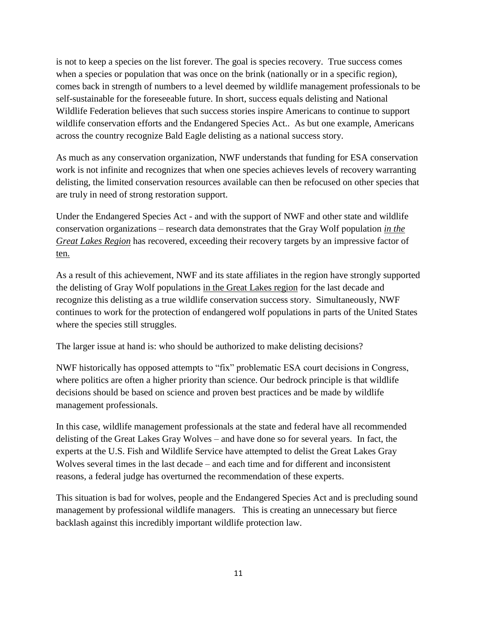is not to keep a species on the list forever. The goal is species recovery. True success comes when a species or population that was once on the brink (nationally or in a specific region), comes back in strength of numbers to a level deemed by wildlife management professionals to be self-sustainable for the foreseeable future. In short, success equals delisting and National Wildlife Federation believes that such success stories inspire Americans to continue to support wildlife conservation efforts and the Endangered Species Act.. As but one example, Americans across the country recognize Bald Eagle delisting as a national success story.

As much as any conservation organization, NWF understands that funding for ESA conservation work is not infinite and recognizes that when one species achieves levels of recovery warranting delisting, the limited conservation resources available can then be refocused on other species that are truly in need of strong restoration support.

Under the Endangered Species Act - and with the support of NWF and other state and wildlife conservation organizations – research data demonstrates that the Gray Wolf population *in the Great Lakes Region* has recovered, exceeding their recovery targets by an impressive factor of ten.

As a result of this achievement, NWF and its state affiliates in the region have strongly supported the delisting of Gray Wolf populations in the Great Lakes region for the last decade and recognize this delisting as a true wildlife conservation success story. Simultaneously, NWF continues to work for the protection of endangered wolf populations in parts of the United States where the species still struggles.

The larger issue at hand is: who should be authorized to make delisting decisions?

NWF historically has opposed attempts to "fix" problematic ESA court decisions in Congress, where politics are often a higher priority than science. Our bedrock principle is that wildlife decisions should be based on science and proven best practices and be made by wildlife management professionals.

In this case, wildlife management professionals at the state and federal have all recommended delisting of the Great Lakes Gray Wolves – and have done so for several years. In fact, the experts at the U.S. Fish and Wildlife Service have attempted to delist the Great Lakes Gray Wolves several times in the last decade – and each time and for different and inconsistent reasons, a federal judge has overturned the recommendation of these experts.

This situation is bad for wolves, people and the Endangered Species Act and is precluding sound management by professional wildlife managers. This is creating an unnecessary but fierce backlash against this incredibly important wildlife protection law.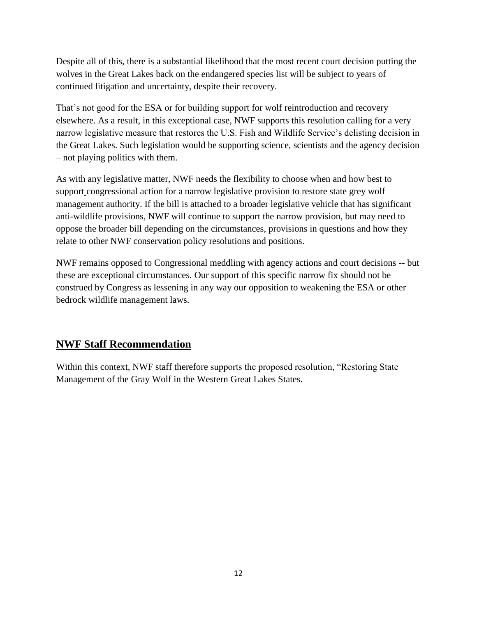Despite all of this, there is a substantial likelihood that the most recent court decision putting the wolves in the Great Lakes back on the endangered species list will be subject to years of continued litigation and uncertainty, despite their recovery.

That's not good for the ESA or for building support for wolf reintroduction and recovery elsewhere. As a result, in this exceptional case, NWF supports this resolution calling for a very narrow legislative measure that restores the U.S. Fish and Wildlife Service's delisting decision in the Great Lakes. Such legislation would be supporting science, scientists and the agency decision – not playing politics with them.

As with any legislative matter, NWF needs the flexibility to choose when and how best to support congressional action for a narrow legislative provision to restore state grey wolf management authority. If the bill is attached to a broader legislative vehicle that has significant anti-wildlife provisions, NWF will continue to support the narrow provision, but may need to oppose the broader bill depending on the circumstances, provisions in questions and how they relate to other NWF conservation policy resolutions and positions.

NWF remains opposed to Congressional meddling with agency actions and court decisions -- but these are exceptional circumstances. Our support of this specific narrow fix should not be construed by Congress as lessening in any way our opposition to weakening the ESA or other bedrock wildlife management laws.

# **NWF Staff Recommendation**

Within this context, NWF staff therefore supports the proposed resolution, "Restoring State Management of the Gray Wolf in the Western Great Lakes States.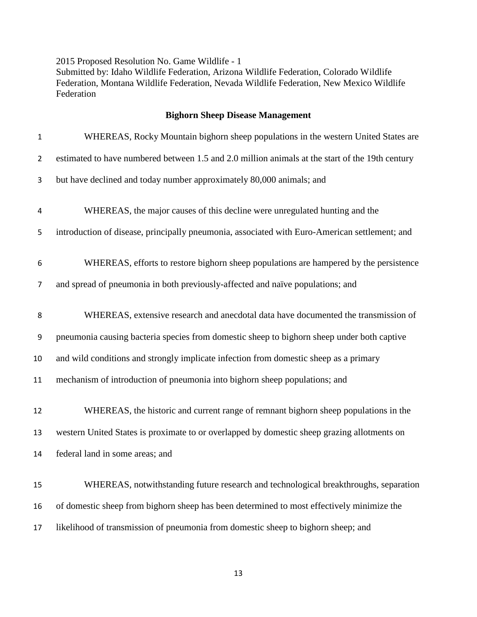2015 Proposed Resolution No. Game Wildlife - 1 Submitted by: Idaho Wildlife Federation, Arizona Wildlife Federation, Colorado Wildlife Federation, Montana Wildlife Federation, Nevada Wildlife Federation, New Mexico Wildlife Federation

#### **Bighorn Sheep Disease Management**

| $\mathbf 1$      | WHEREAS, Rocky Mountain bighorn sheep populations in the western United States are              |
|------------------|-------------------------------------------------------------------------------------------------|
| $\overline{2}$   | estimated to have numbered between 1.5 and 2.0 million animals at the start of the 19th century |
| 3                | but have declined and today number approximately 80,000 animals; and                            |
| 4                | WHEREAS, the major causes of this decline were unregulated hunting and the                      |
| 5                | introduction of disease, principally pneumonia, associated with Euro-American settlement; and   |
| 6                | WHEREAS, efforts to restore bighorn sheep populations are hampered by the persistence           |
| 7                | and spread of pneumonia in both previously-affected and naïve populations; and                  |
| 8                | WHEREAS, extensive research and anecdotal data have documented the transmission of              |
| $\boldsymbol{9}$ | pneumonia causing bacteria species from domestic sheep to bighorn sheep under both captive      |
| 10               | and wild conditions and strongly implicate infection from domestic sheep as a primary           |
| 11               | mechanism of introduction of pneumonia into bighorn sheep populations; and                      |
| 12               | WHEREAS, the historic and current range of remnant bighorn sheep populations in the             |
| 13               | western United States is proximate to or overlapped by domestic sheep grazing allotments on     |
| 14               | federal land in some areas; and                                                                 |
| 15               | WHEREAS, notwithstanding future research and technological breakthroughs, separation            |
| 16               | of domestic sheep from bighorn sheep has been determined to most effectively minimize the       |
| 17               | likelihood of transmission of pneumonia from domestic sheep to bighorn sheep; and               |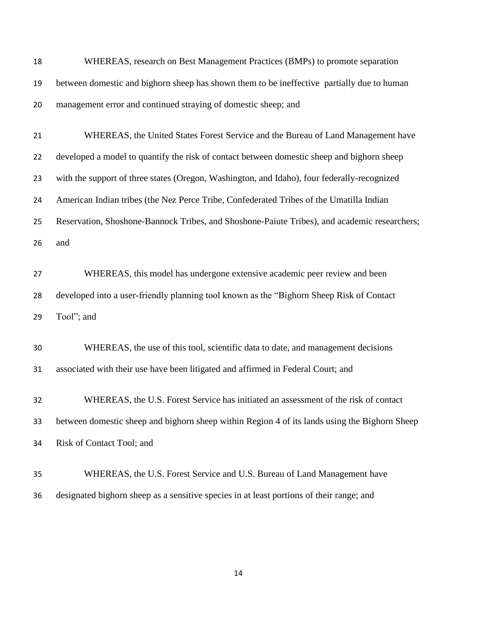| 18 | WHEREAS, research on Best Management Practices (BMPs) to promote separation                   |
|----|-----------------------------------------------------------------------------------------------|
| 19 | between domestic and bighorn sheep has shown them to be ineffective partially due to human    |
| 20 | management error and continued straying of domestic sheep; and                                |
| 21 | WHEREAS, the United States Forest Service and the Bureau of Land Management have              |
| 22 | developed a model to quantify the risk of contact between domestic sheep and bighorn sheep    |
| 23 | with the support of three states (Oregon, Washington, and Idaho), four federally-recognized   |
| 24 | American Indian tribes (the Nez Perce Tribe, Confederated Tribes of the Umatilla Indian       |
| 25 | Reservation, Shoshone-Bannock Tribes, and Shoshone-Paiute Tribes), and academic researchers;  |
| 26 | and                                                                                           |
| 27 | WHEREAS, this model has undergone extensive academic peer review and been                     |
| 28 | developed into a user-friendly planning tool known as the "Bighorn Sheep Risk of Contact"     |
| 29 | Tool"; and                                                                                    |
| 30 | WHEREAS, the use of this tool, scientific data to date, and management decisions              |
| 31 | associated with their use have been litigated and affirmed in Federal Court; and              |
| 32 | WHEREAS, the U.S. Forest Service has initiated an assessment of the risk of contact           |
| 33 | between domestic sheep and bighorn sheep within Region 4 of its lands using the Bighorn Sheep |
| 34 | Risk of Contact Tool; and                                                                     |
| 35 | WHEREAS, the U.S. Forest Service and U.S. Bureau of Land Management have                      |
| 36 | designated bighorn sheep as a sensitive species in at least portions of their range; and      |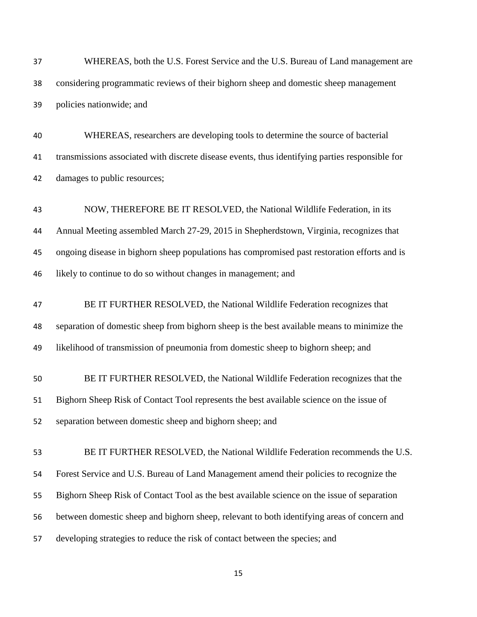| 37 | WHEREAS, both the U.S. Forest Service and the U.S. Bureau of Land management are                |
|----|-------------------------------------------------------------------------------------------------|
| 38 | considering programmatic reviews of their bighorn sheep and domestic sheep management           |
| 39 | policies nationwide; and                                                                        |
| 40 | WHEREAS, researchers are developing tools to determine the source of bacterial                  |
| 41 | transmissions associated with discrete disease events, thus identifying parties responsible for |
| 42 | damages to public resources;                                                                    |
| 43 | NOW, THEREFORE BE IT RESOLVED, the National Wildlife Federation, in its                         |
| 44 | Annual Meeting assembled March 27-29, 2015 in Shepherdstown, Virginia, recognizes that          |
| 45 | ongoing disease in bighorn sheep populations has compromised past restoration efforts and is    |
| 46 | likely to continue to do so without changes in management; and                                  |
| 47 | BE IT FURTHER RESOLVED, the National Wildlife Federation recognizes that                        |
| 48 | separation of domestic sheep from bighorn sheep is the best available means to minimize the     |
| 49 | likelihood of transmission of pneumonia from domestic sheep to bighorn sheep; and               |
| 50 | BE IT FURTHER RESOLVED, the National Wildlife Federation recognizes that the                    |
| 51 | Bighorn Sheep Risk of Contact Tool represents the best available science on the issue of        |
| 52 | separation between domestic sheep and bighorn sheep; and                                        |
| 53 | BE IT FURTHER RESOLVED, the National Wildlife Federation recommends the U.S.                    |
| 54 | Forest Service and U.S. Bureau of Land Management amend their policies to recognize the         |
| 55 | Bighorn Sheep Risk of Contact Tool as the best available science on the issue of separation     |
| 56 | between domestic sheep and bighorn sheep, relevant to both identifying areas of concern and     |
| 57 | developing strategies to reduce the risk of contact between the species; and                    |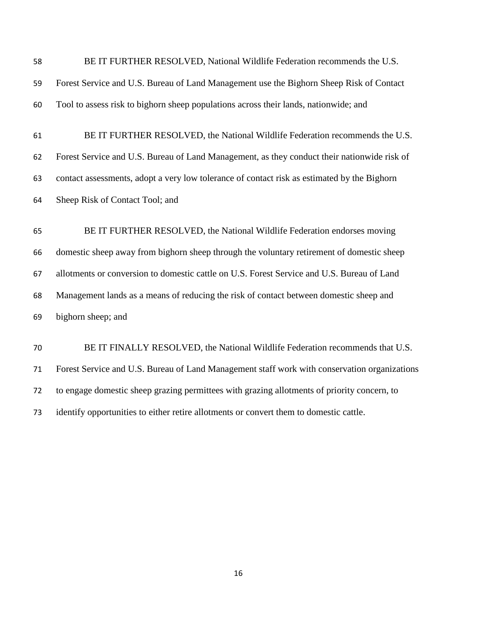| 58 | BE IT FURTHER RESOLVED, National Wildlife Federation recommends the U.S.                     |
|----|----------------------------------------------------------------------------------------------|
| 59 | Forest Service and U.S. Bureau of Land Management use the Bighorn Sheep Risk of Contact      |
| 60 | Tool to assess risk to bighorn sheep populations across their lands, nationwide; and         |
|    |                                                                                              |
| 61 | BE IT FURTHER RESOLVED, the National Wildlife Federation recommends the U.S.                 |
| 62 | Forest Service and U.S. Bureau of Land Management, as they conduct their nationwide risk of  |
| 63 | contact assessments, adopt a very low tolerance of contact risk as estimated by the Bighorn  |
| 64 | Sheep Risk of Contact Tool; and                                                              |
|    |                                                                                              |
| 65 | BE IT FURTHER RESOLVED, the National Wildlife Federation endorses moving                     |
| 66 | domestic sheep away from bighorn sheep through the voluntary retirement of domestic sheep    |
| 67 | allotments or conversion to domestic cattle on U.S. Forest Service and U.S. Bureau of Land   |
| 68 | Management lands as a means of reducing the risk of contact between domestic sheep and       |
| 69 | bighorn sheep; and                                                                           |
|    |                                                                                              |
| 70 | BE IT FINALLY RESOLVED, the National Wildlife Federation recommends that U.S.                |
| 71 | Forest Service and U.S. Bureau of Land Management staff work with conservation organizations |
| 72 | to engage domestic sheep grazing permittees with grazing allotments of priority concern, to  |
| 73 | identify opportunities to either retire allotments or convert them to domestic cattle.       |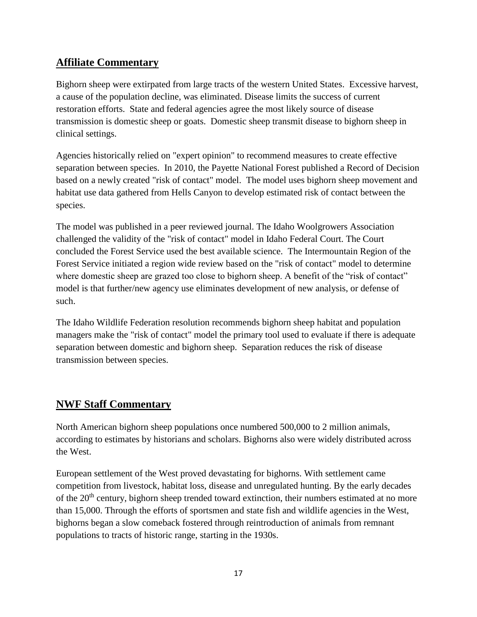# **Affiliate Commentary**

Bighorn sheep were extirpated from large tracts of the western United States. Excessive harvest, a cause of the population decline, was eliminated. Disease limits the success of current restoration efforts. State and federal agencies agree the most likely source of disease transmission is domestic sheep or goats. Domestic sheep transmit disease to bighorn sheep in clinical settings.

Agencies historically relied on "expert opinion" to recommend measures to create effective separation between species. In 2010, the Payette National Forest published a Record of Decision based on a newly created "risk of contact" model. The model uses bighorn sheep movement and habitat use data gathered from Hells Canyon to develop estimated risk of contact between the species.

The model was published in a peer reviewed journal. The Idaho Woolgrowers Association challenged the validity of the "risk of contact" model in Idaho Federal Court. The Court concluded the Forest Service used the best available science. The Intermountain Region of the Forest Service initiated a region wide review based on the "risk of contact" model to determine where domestic sheep are grazed too close to bighorn sheep. A benefit of the "risk of contact" model is that further/new agency use eliminates development of new analysis, or defense of such.

The Idaho Wildlife Federation resolution recommends bighorn sheep habitat and population managers make the "risk of contact" model the primary tool used to evaluate if there is adequate separation between domestic and bighorn sheep. Separation reduces the risk of disease transmission between species.

# **NWF Staff Commentary**

North American bighorn sheep populations once numbered 500,000 to 2 million animals, according to estimates by historians and scholars. Bighorns also were widely distributed across the West.

European settlement of the West proved devastating for bighorns. With settlement came competition from livestock, habitat loss, disease and unregulated hunting. By the early decades of the 20<sup>th</sup> century, bighorn sheep trended toward extinction, their numbers estimated at no more than 15,000. Through the efforts of sportsmen and state fish and wildlife agencies in the West, bighorns began a slow comeback fostered through reintroduction of animals from remnant populations to tracts of historic range, starting in the 1930s.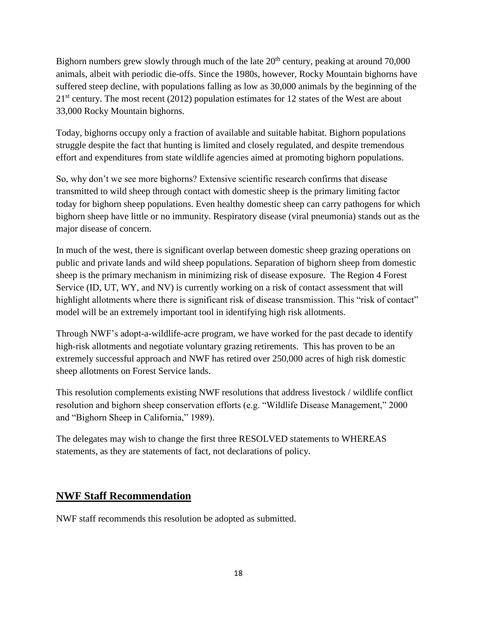Bighorn numbers grew slowly through much of the late  $20<sup>th</sup>$  century, peaking at around 70,000 animals, albeit with periodic die-offs. Since the 1980s, however, Rocky Mountain bighorns have suffered steep decline, with populations falling as low as 30,000 animals by the beginning of the  $21<sup>st</sup>$  century. The most recent (2012) population estimates for 12 states of the West are about 33,000 Rocky Mountain bighorns.

Today, bighorns occupy only a fraction of available and suitable habitat. Bighorn populations struggle despite the fact that hunting is limited and closely regulated, and despite tremendous effort and expenditures from state wildlife agencies aimed at promoting bighorn populations.

So, why don't we see more bighorns? Extensive scientific research confirms that disease transmitted to wild sheep through contact with domestic sheep is the primary limiting factor today for bighorn sheep populations. Even healthy domestic sheep can carry pathogens for which bighorn sheep have little or no immunity. Respiratory disease (viral pneumonia) stands out as the major disease of concern.

In much of the west, there is significant overlap between domestic sheep grazing operations on public and private lands and wild sheep populations. Separation of bighorn sheep from domestic sheep is the primary mechanism in minimizing risk of disease exposure. The Region 4 Forest Service (ID, UT, WY, and NV) is currently working on a risk of contact assessment that will highlight allotments where there is significant risk of disease transmission. This "risk of contact" model will be an extremely important tool in identifying high risk allotments.

Through NWF's adopt-a-wildlife-acre program, we have worked for the past decade to identify high-risk allotments and negotiate voluntary grazing retirements. This has proven to be an extremely successful approach and NWF has retired over 250,000 acres of high risk domestic sheep allotments on Forest Service lands.

This resolution complements existing NWF resolutions that address livestock / wildlife conflict resolution and bighorn sheep conservation efforts (e.g. "Wildlife Disease Management," 2000 and "Bighorn Sheep in California," 1989).

The delegates may wish to change the first three RESOLVED statements to WHEREAS statements, as they are statements of fact, not declarations of policy.

# **NWF Staff Recommendation**

NWF staff recommends this resolution be adopted as submitted.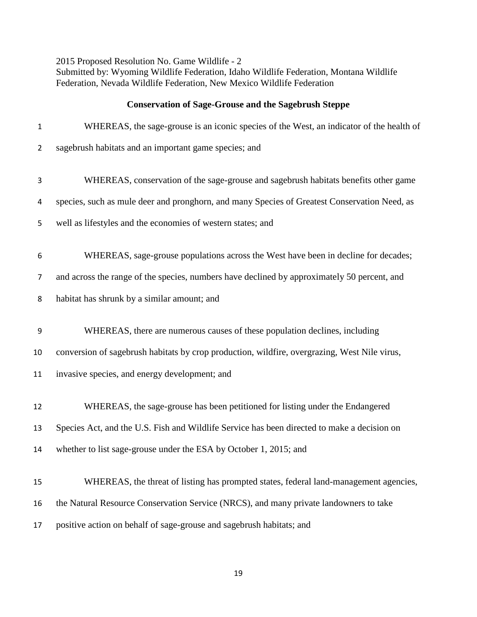2015 Proposed Resolution No. Game Wildlife - 2 Submitted by: Wyoming Wildlife Federation, Idaho Wildlife Federation, Montana Wildlife Federation, Nevada Wildlife Federation, New Mexico Wildlife Federation

#### **Conservation of Sage-Grouse and the Sagebrush Steppe**

| $\mathbf 1$    | WHEREAS, the sage-grouse is an iconic species of the West, an indicator of the health of     |
|----------------|----------------------------------------------------------------------------------------------|
| $\overline{2}$ | sagebrush habitats and an important game species; and                                        |
| 3              | WHEREAS, conservation of the sage-grouse and sagebrush habitats benefits other game          |
| 4              | species, such as mule deer and pronghorn, and many Species of Greatest Conservation Need, as |
| 5              | well as lifestyles and the economies of western states; and                                  |
| 6              | WHEREAS, sage-grouse populations across the West have been in decline for decades;           |
| $\overline{7}$ | and across the range of the species, numbers have declined by approximately 50 percent, and  |
| 8              | habitat has shrunk by a similar amount; and                                                  |
| 9              | WHEREAS, there are numerous causes of these population declines, including                   |
| 10             | conversion of sagebrush habitats by crop production, wildfire, overgrazing, West Nile virus, |
| 11             | invasive species, and energy development; and                                                |
| 12             | WHEREAS, the sage-grouse has been petitioned for listing under the Endangered                |
| 13             | Species Act, and the U.S. Fish and Wildlife Service has been directed to make a decision on  |
| 14             | whether to list sage-grouse under the ESA by October 1, 2015; and                            |
| 15             | WHEREAS, the threat of listing has prompted states, federal land-management agencies,        |
| 16             | the Natural Resource Conservation Service (NRCS), and many private landowners to take        |
| 17             | positive action on behalf of sage-grouse and sagebrush habitats; and                         |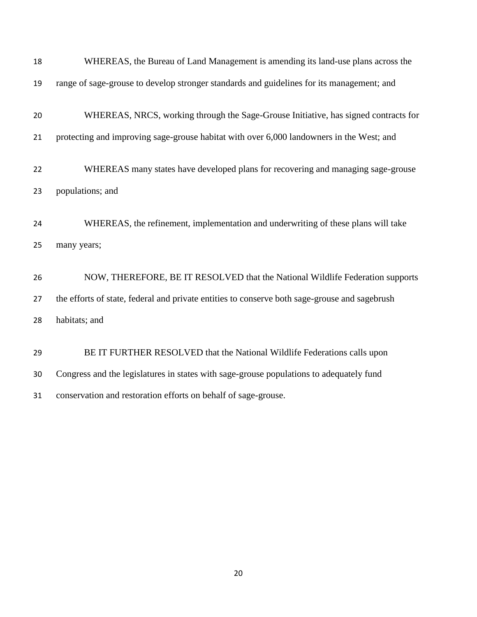| 18 | WHEREAS, the Bureau of Land Management is amending its land-use plans across the              |
|----|-----------------------------------------------------------------------------------------------|
| 19 | range of sage-grouse to develop stronger standards and guidelines for its management; and     |
| 20 | WHEREAS, NRCS, working through the Sage-Grouse Initiative, has signed contracts for           |
| 21 | protecting and improving sage-grouse habitat with over 6,000 landowners in the West; and      |
| 22 | WHEREAS many states have developed plans for recovering and managing sage-grouse              |
| 23 | populations; and                                                                              |
| 24 | WHEREAS, the refinement, implementation and underwriting of these plans will take             |
| 25 | many years;                                                                                   |
| 26 | NOW, THEREFORE, BE IT RESOLVED that the National Wildlife Federation supports                 |
| 27 | the efforts of state, federal and private entities to conserve both sage-grouse and sagebrush |
| 28 | habitats; and                                                                                 |
| 29 | BE IT FURTHER RESOLVED that the National Wildlife Federations calls upon                      |
| 30 | Congress and the legislatures in states with sage-grouse populations to adequately fund       |
| 31 | conservation and restoration efforts on behalf of sage-grouse.                                |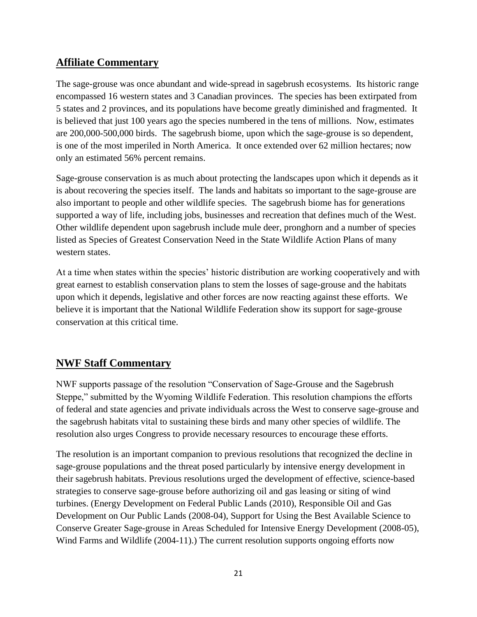## **Affiliate Commentary**

The sage-grouse was once abundant and wide-spread in sagebrush ecosystems. Its historic range encompassed 16 western states and 3 Canadian provinces. The species has been extirpated from 5 states and 2 provinces, and its populations have become greatly diminished and fragmented. It is believed that just 100 years ago the species numbered in the tens of millions. Now, estimates are 200,000-500,000 birds. The sagebrush biome, upon which the sage-grouse is so dependent, is one of the most imperiled in North America. It once extended over 62 million hectares; now only an estimated 56% percent remains.

Sage-grouse conservation is as much about protecting the landscapes upon which it depends as it is about recovering the species itself. The lands and habitats so important to the sage-grouse are also important to people and other wildlife species. The sagebrush biome has for generations supported a way of life, including jobs, businesses and recreation that defines much of the West. Other wildlife dependent upon sagebrush include mule deer, pronghorn and a number of species listed as Species of Greatest Conservation Need in the State Wildlife Action Plans of many western states.

At a time when states within the species' historic distribution are working cooperatively and with great earnest to establish conservation plans to stem the losses of sage-grouse and the habitats upon which it depends, legislative and other forces are now reacting against these efforts. We believe it is important that the National Wildlife Federation show its support for sage-grouse conservation at this critical time.

# **NWF Staff Commentary**

NWF supports passage of the resolution "Conservation of Sage-Grouse and the Sagebrush Steppe," submitted by the Wyoming Wildlife Federation. This resolution champions the efforts of federal and state agencies and private individuals across the West to conserve sage-grouse and the sagebrush habitats vital to sustaining these birds and many other species of wildlife. The resolution also urges Congress to provide necessary resources to encourage these efforts.

The resolution is an important companion to previous resolutions that recognized the decline in sage-grouse populations and the threat posed particularly by intensive energy development in their sagebrush habitats. Previous resolutions urged the development of effective, science-based strategies to conserve sage-grouse before authorizing oil and gas leasing or siting of wind turbines. (Energy Development on Federal Public Lands (2010), Responsible Oil and Gas Development on Our Public Lands (2008-04), Support for Using the Best Available Science to Conserve Greater Sage-grouse in Areas Scheduled for Intensive Energy Development (2008-05), Wind Farms and Wildlife (2004-11).) The current resolution supports ongoing efforts now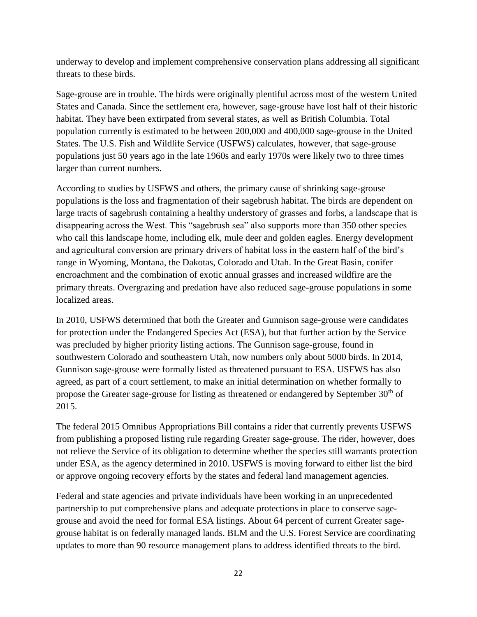underway to develop and implement comprehensive conservation plans addressing all significant threats to these birds.

Sage-grouse are in trouble. The birds were originally plentiful across most of the western United States and Canada. Since the settlement era, however, sage-grouse have lost half of their historic habitat. They have been extirpated from several states, as well as British Columbia. Total population currently is estimated to be between 200,000 and 400,000 sage-grouse in the United States. The U.S. Fish and Wildlife Service (USFWS) calculates, however, that sage-grouse populations just 50 years ago in the late 1960s and early 1970s were likely two to three times larger than current numbers.

According to studies by USFWS and others, the primary cause of shrinking sage-grouse populations is the loss and fragmentation of their sagebrush habitat. The birds are dependent on large tracts of sagebrush containing a healthy understory of grasses and forbs, a landscape that is disappearing across the West. This "sagebrush sea" also supports more than 350 other species who call this landscape home, including elk, mule deer and golden eagles. Energy development and agricultural conversion are primary drivers of habitat loss in the eastern half of the bird's range in Wyoming, Montana, the Dakotas, Colorado and Utah. In the Great Basin, conifer encroachment and the combination of exotic annual grasses and increased wildfire are the primary threats. Overgrazing and predation have also reduced sage-grouse populations in some localized areas.

In 2010, USFWS determined that both the Greater and Gunnison sage-grouse were candidates for protection under the Endangered Species Act (ESA), but that further action by the Service was precluded by higher priority listing actions. The Gunnison sage-grouse, found in southwestern Colorado and southeastern Utah, now numbers only about 5000 birds. In 2014, Gunnison sage-grouse were formally listed as threatened pursuant to ESA. USFWS has also agreed, as part of a court settlement, to make an initial determination on whether formally to propose the Greater sage-grouse for listing as threatened or endangered by September  $30<sup>th</sup>$  of 2015.

The federal 2015 Omnibus Appropriations Bill contains a rider that currently prevents USFWS from publishing a proposed listing rule regarding Greater sage-grouse. The rider, however, does not relieve the Service of its obligation to determine whether the species still warrants protection under ESA, as the agency determined in 2010. USFWS is moving forward to either list the bird or approve ongoing recovery efforts by the states and federal land management agencies.

Federal and state agencies and private individuals have been working in an unprecedented partnership to put comprehensive plans and adequate protections in place to conserve sagegrouse and avoid the need for formal ESA listings. About 64 percent of current Greater sagegrouse habitat is on federally managed lands. BLM and the U.S. Forest Service are coordinating updates to more than 90 resource management plans to address identified threats to the bird.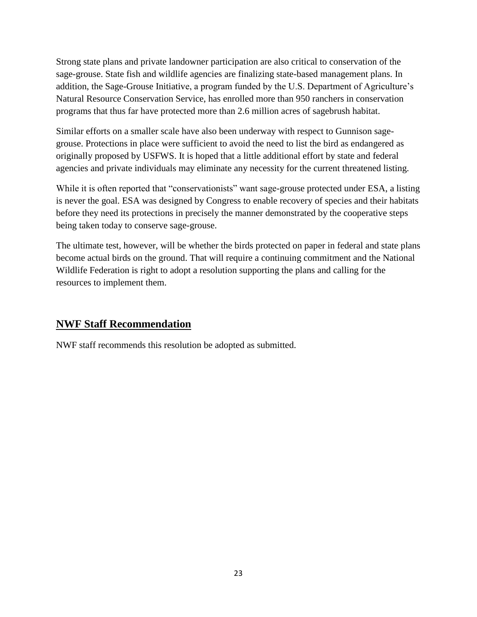Strong state plans and private landowner participation are also critical to conservation of the sage-grouse. State fish and wildlife agencies are finalizing state-based management plans. In addition, the Sage-Grouse Initiative, a program funded by the U.S. Department of Agriculture's Natural Resource Conservation Service, has enrolled more than 950 ranchers in conservation programs that thus far have protected more than 2.6 million acres of sagebrush habitat.

Similar efforts on a smaller scale have also been underway with respect to Gunnison sagegrouse. Protections in place were sufficient to avoid the need to list the bird as endangered as originally proposed by USFWS. It is hoped that a little additional effort by state and federal agencies and private individuals may eliminate any necessity for the current threatened listing.

While it is often reported that "conservationists" want sage-grouse protected under ESA, a listing is never the goal. ESA was designed by Congress to enable recovery of species and their habitats before they need its protections in precisely the manner demonstrated by the cooperative steps being taken today to conserve sage-grouse.

The ultimate test, however, will be whether the birds protected on paper in federal and state plans become actual birds on the ground. That will require a continuing commitment and the National Wildlife Federation is right to adopt a resolution supporting the plans and calling for the resources to implement them.

## **NWF Staff Recommendation**

NWF staff recommends this resolution be adopted as submitted.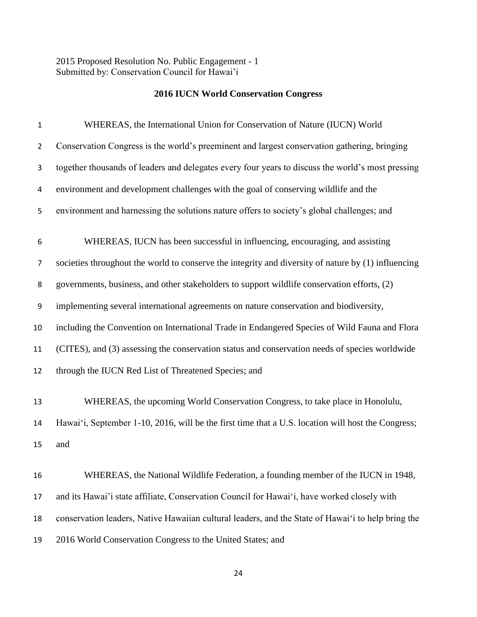2015 Proposed Resolution No. Public Engagement - 1 Submitted by: Conservation Council for Hawai'i

#### **2016 IUCN World Conservation Congress**

| 1  | WHEREAS, the International Union for Conservation of Nature (IUCN) World                            |
|----|-----------------------------------------------------------------------------------------------------|
| 2  | Conservation Congress is the world's preeminent and largest conservation gathering, bringing        |
| 3  | together thousands of leaders and delegates every four years to discuss the world's most pressing   |
| 4  | environment and development challenges with the goal of conserving wildlife and the                 |
| 5  | environment and harnessing the solutions nature offers to society's global challenges; and          |
| 6  | WHEREAS, IUCN has been successful in influencing, encouraging, and assisting                        |
| 7  | societies throughout the world to conserve the integrity and diversity of nature by (1) influencing |
| 8  | governments, business, and other stakeholders to support wildlife conservation efforts, (2)         |
| 9  | implementing several international agreements on nature conservation and biodiversity,              |
| 10 | including the Convention on International Trade in Endangered Species of Wild Fauna and Flora       |
| 11 | (CITES), and (3) assessing the conservation status and conservation needs of species worldwide      |
| 12 | through the IUCN Red List of Threatened Species; and                                                |
| 13 | WHEREAS, the upcoming World Conservation Congress, to take place in Honolulu,                       |
| 14 | Hawai'i, September 1-10, 2016, will be the first time that a U.S. location will host the Congress;  |
| 15 | and                                                                                                 |
| 16 | WHEREAS, the National Wildlife Federation, a founding member of the IUCN in 1948,                   |
| 17 | and its Hawai'i state affiliate, Conservation Council for Hawai'i, have worked closely with         |
| 18 | conservation leaders, Native Hawaiian cultural leaders, and the State of Hawai'i to help bring the  |
| 19 | 2016 World Conservation Congress to the United States; and                                          |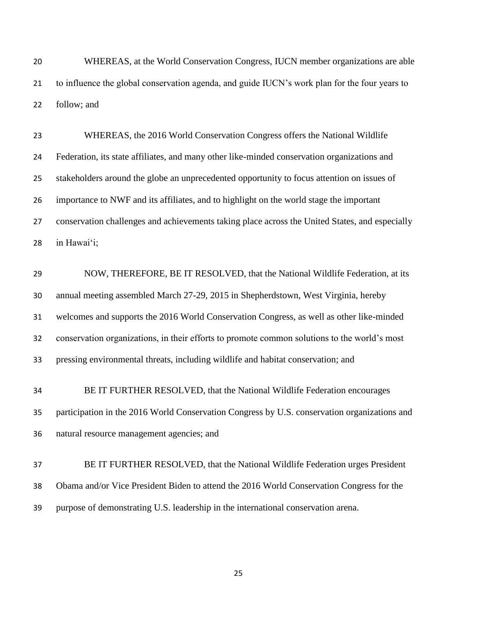WHEREAS, at the World Conservation Congress, IUCN member organizations are able to influence the global conservation agenda, and guide IUCN's work plan for the four years to follow; and

 WHEREAS, the 2016 World Conservation Congress offers the National Wildlife Federation, its state affiliates, and many other like-minded conservation organizations and stakeholders around the globe an unprecedented opportunity to focus attention on issues of importance to NWF and its affiliates, and to highlight on the world stage the important conservation challenges and achievements taking place across the United States, and especially in Hawai'i;

 NOW, THEREFORE, BE IT RESOLVED, that the National Wildlife Federation, at its annual meeting assembled March 27-29, 2015 in Shepherdstown, West Virginia, hereby welcomes and supports the 2016 World Conservation Congress, as well as other like-minded conservation organizations, in their efforts to promote common solutions to the world's most pressing environmental threats, including wildlife and habitat conservation; and

 BE IT FURTHER RESOLVED, that the National Wildlife Federation encourages participation in the 2016 World Conservation Congress by U.S. conservation organizations and natural resource management agencies; and

 BE IT FURTHER RESOLVED, that the National Wildlife Federation urges President Obama and/or Vice President Biden to attend the 2016 World Conservation Congress for the purpose of demonstrating U.S. leadership in the international conservation arena.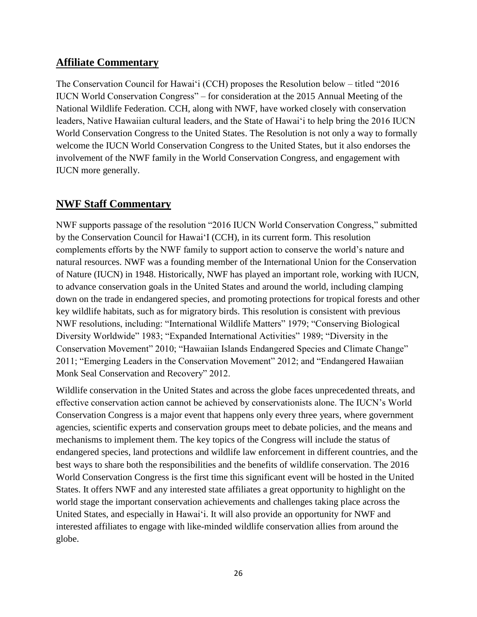## **Affiliate Commentary**

The Conservation Council for Hawai'i (CCH) proposes the Resolution below – titled "2016 IUCN World Conservation Congress" – for consideration at the 2015 Annual Meeting of the National Wildlife Federation. CCH, along with NWF, have worked closely with conservation leaders, Native Hawaiian cultural leaders, and the State of Hawai'i to help bring the 2016 IUCN World Conservation Congress to the United States. The Resolution is not only a way to formally welcome the IUCN World Conservation Congress to the United States, but it also endorses the involvement of the NWF family in the World Conservation Congress, and engagement with IUCN more generally.

## **NWF Staff Commentary**

NWF supports passage of the resolution "2016 IUCN World Conservation Congress," submitted by the Conservation Council for Hawai'I (CCH), in its current form. This resolution complements efforts by the NWF family to support action to conserve the world's nature and natural resources. NWF was a founding member of the International Union for the Conservation of Nature (IUCN) in 1948. Historically, NWF has played an important role, working with IUCN, to advance conservation goals in the United States and around the world, including clamping down on the trade in endangered species, and promoting protections for tropical forests and other key wildlife habitats, such as for migratory birds. This resolution is consistent with previous NWF resolutions, including: "International Wildlife Matters" 1979; "Conserving Biological Diversity Worldwide" 1983; "Expanded International Activities" 1989; "Diversity in the Conservation Movement" 2010; "Hawaiian Islands Endangered Species and Climate Change" 2011; "Emerging Leaders in the Conservation Movement" 2012; and "Endangered Hawaiian Monk Seal Conservation and Recovery" 2012.

Wildlife conservation in the United States and across the globe faces unprecedented threats, and effective conservation action cannot be achieved by conservationists alone. The IUCN's World Conservation Congress is a major event that happens only every three years, where government agencies, scientific experts and conservation groups meet to debate policies, and the means and mechanisms to implement them. The key topics of the Congress will include the status of endangered species, land protections and wildlife law enforcement in different countries, and the best ways to share both the responsibilities and the benefits of wildlife conservation. The 2016 World Conservation Congress is the first time this significant event will be hosted in the United States. It offers NWF and any interested state affiliates a great opportunity to highlight on the world stage the important conservation achievements and challenges taking place across the United States, and especially in Hawai'i. It will also provide an opportunity for NWF and interested affiliates to engage with like-minded wildlife conservation allies from around the globe.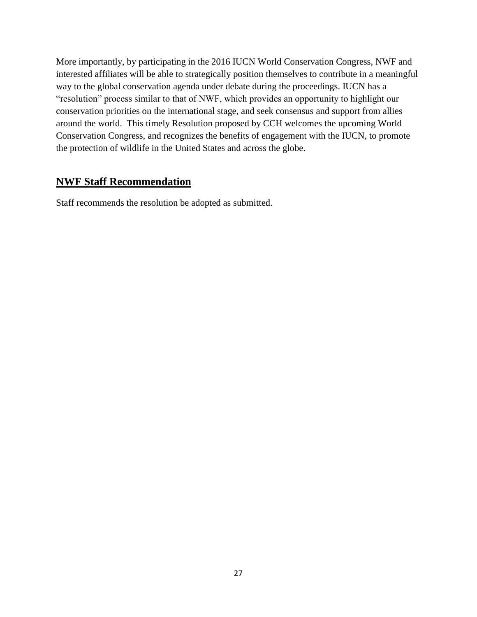More importantly, by participating in the 2016 IUCN World Conservation Congress, NWF and interested affiliates will be able to strategically position themselves to contribute in a meaningful way to the global conservation agenda under debate during the proceedings. IUCN has a "resolution" process similar to that of NWF, which provides an opportunity to highlight our conservation priorities on the international stage, and seek consensus and support from allies around the world. This timely Resolution proposed by CCH welcomes the upcoming World Conservation Congress, and recognizes the benefits of engagement with the IUCN, to promote the protection of wildlife in the United States and across the globe.

## **NWF Staff Recommendation**

Staff recommends the resolution be adopted as submitted.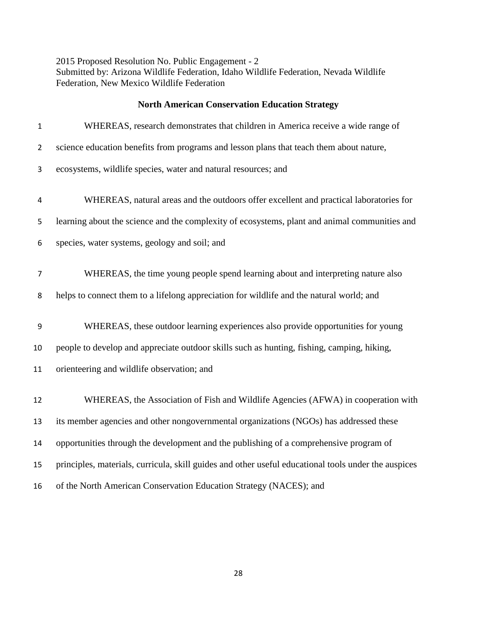2015 Proposed Resolution No. Public Engagement - 2 Submitted by: Arizona Wildlife Federation, Idaho Wildlife Federation, Nevada Wildlife Federation, New Mexico Wildlife Federation

### **North American Conservation Education Strategy**

| $\mathbf{1}$   | WHEREAS, research demonstrates that children in America receive a wide range of                      |
|----------------|------------------------------------------------------------------------------------------------------|
| $\overline{2}$ | science education benefits from programs and lesson plans that teach them about nature,              |
| 3              | ecosystems, wildlife species, water and natural resources; and                                       |
| 4              | WHEREAS, natural areas and the outdoors offer excellent and practical laboratories for               |
| 5              | learning about the science and the complexity of ecosystems, plant and animal communities and        |
| 6              | species, water systems, geology and soil; and                                                        |
| 7              | WHEREAS, the time young people spend learning about and interpreting nature also                     |
| 8              | helps to connect them to a lifelong appreciation for wildlife and the natural world; and             |
| 9              | WHEREAS, these outdoor learning experiences also provide opportunities for young                     |
| 10             | people to develop and appreciate outdoor skills such as hunting, fishing, camping, hiking,           |
| 11             | orienteering and wildlife observation; and                                                           |
| 12             | WHEREAS, the Association of Fish and Wildlife Agencies (AFWA) in cooperation with                    |
| 13             | its member agencies and other nongovernmental organizations (NGOs) has addressed these               |
| 14             | opportunities through the development and the publishing of a comprehensive program of               |
| 15             | principles, materials, curricula, skill guides and other useful educational tools under the auspices |
| 16             | of the North American Conservation Education Strategy (NACES); and                                   |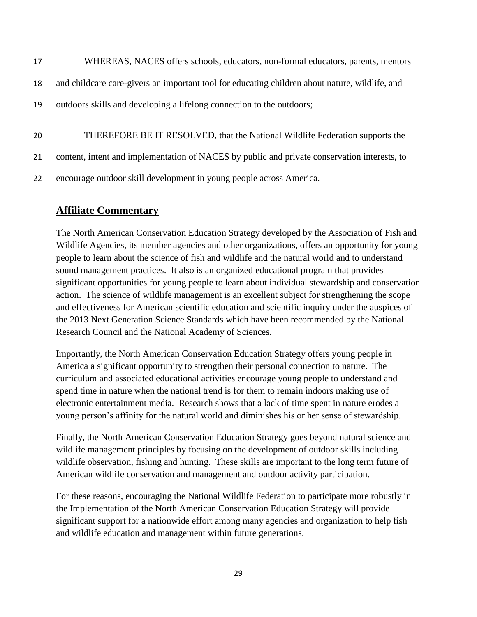| 17 | WHEREAS, NACES offers schools, educators, non-formal educators, parents, mentors               |
|----|------------------------------------------------------------------------------------------------|
| 18 | and childcare care-givers an important tool for educating children about nature, wildlife, and |
| 19 | outdoors skills and developing a lifelong connection to the outdoors;                          |
|    |                                                                                                |
| 20 | THEREFORE BE IT RESOLVED, that the National Wildlife Federation supports the                   |
| 21 | content, intent and implementation of NACES by public and private conservation interests, to   |
| 22 | encourage outdoor skill development in young people across America.                            |

## **Affiliate Commentary**

The North American Conservation Education Strategy developed by the Association of Fish and Wildlife Agencies, its member agencies and other organizations, offers an opportunity for young people to learn about the science of fish and wildlife and the natural world and to understand sound management practices. It also is an organized educational program that provides significant opportunities for young people to learn about individual stewardship and conservation action. The science of wildlife management is an excellent subject for strengthening the scope and effectiveness for American scientific education and scientific inquiry under the auspices of the 2013 Next Generation Science Standards which have been recommended by the National Research Council and the National Academy of Sciences.

Importantly, the North American Conservation Education Strategy offers young people in America a significant opportunity to strengthen their personal connection to nature. The curriculum and associated educational activities encourage young people to understand and spend time in nature when the national trend is for them to remain indoors making use of electronic entertainment media. Research shows that a lack of time spent in nature erodes a young person's affinity for the natural world and diminishes his or her sense of stewardship.

Finally, the North American Conservation Education Strategy goes beyond natural science and wildlife management principles by focusing on the development of outdoor skills including wildlife observation, fishing and hunting. These skills are important to the long term future of American wildlife conservation and management and outdoor activity participation.

For these reasons, encouraging the National Wildlife Federation to participate more robustly in the Implementation of the North American Conservation Education Strategy will provide significant support for a nationwide effort among many agencies and organization to help fish and wildlife education and management within future generations.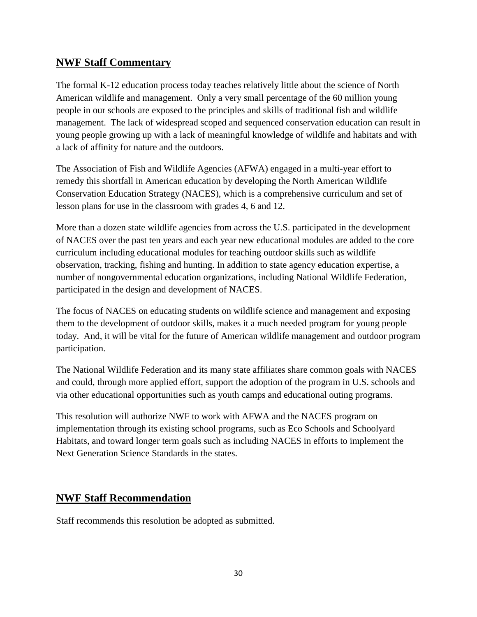### **NWF Staff Commentary**

The formal K-12 education process today teaches relatively little about the science of North American wildlife and management. Only a very small percentage of the 60 million young people in our schools are exposed to the principles and skills of traditional fish and wildlife management. The lack of widespread scoped and sequenced conservation education can result in young people growing up with a lack of meaningful knowledge of wildlife and habitats and with a lack of affinity for nature and the outdoors.

The Association of Fish and Wildlife Agencies (AFWA) engaged in a multi-year effort to remedy this shortfall in American education by developing the North American Wildlife Conservation Education Strategy (NACES), which is a comprehensive curriculum and set of lesson plans for use in the classroom with grades 4, 6 and 12.

More than a dozen state wildlife agencies from across the U.S. participated in the development of NACES over the past ten years and each year new educational modules are added to the core curriculum including educational modules for teaching outdoor skills such as wildlife observation, tracking, fishing and hunting. In addition to state agency education expertise, a number of nongovernmental education organizations, including National Wildlife Federation, participated in the design and development of NACES.

The focus of NACES on educating students on wildlife science and management and exposing them to the development of outdoor skills, makes it a much needed program for young people today. And, it will be vital for the future of American wildlife management and outdoor program participation.

The National Wildlife Federation and its many state affiliates share common goals with NACES and could, through more applied effort, support the adoption of the program in U.S. schools and via other educational opportunities such as youth camps and educational outing programs.

This resolution will authorize NWF to work with AFWA and the NACES program on implementation through its existing school programs, such as Eco Schools and Schoolyard Habitats, and toward longer term goals such as including NACES in efforts to implement the Next Generation Science Standards in the states.

# **NWF Staff Recommendation**

Staff recommends this resolution be adopted as submitted.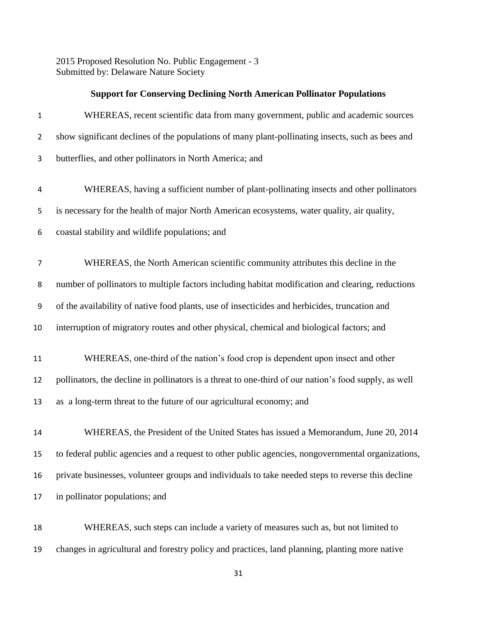2015 Proposed Resolution No. Public Engagement - 3 Submitted by: Delaware Nature Society

|                | <b>Support for Conserving Declining North American Pollinator Populations</b>                         |
|----------------|-------------------------------------------------------------------------------------------------------|
| $\mathbf{1}$   | WHEREAS, recent scientific data from many government, public and academic sources                     |
| $\overline{2}$ | show significant declines of the populations of many plant-pollinating insects, such as bees and      |
| 3              | butterflies, and other pollinators in North America; and                                              |
| 4              | WHEREAS, having a sufficient number of plant-pollinating insects and other pollinators                |
| 5              | is necessary for the health of major North American ecosystems, water quality, air quality,           |
| 6              | coastal stability and wildlife populations; and                                                       |
| 7              | WHEREAS, the North American scientific community attributes this decline in the                       |
| 8              | number of pollinators to multiple factors including habitat modification and clearing, reductions     |
| 9              | of the availability of native food plants, use of insecticides and herbicides, truncation and         |
| 10             | interruption of migratory routes and other physical, chemical and biological factors; and             |
| 11             | WHEREAS, one-third of the nation's food crop is dependent upon insect and other                       |
| 12             | pollinators, the decline in pollinators is a threat to one-third of our nation's food supply, as well |
| 13             | as a long-term threat to the future of our agricultural economy; and                                  |
| 14             | WHEREAS, the President of the United States has issued a Memorandum, June 20, 2014                    |
| 15             | to federal public agencies and a request to other public agencies, nongovernmental organizations,     |
| 16             | private businesses, volunteer groups and individuals to take needed steps to reverse this decline     |
| 17             | in pollinator populations; and                                                                        |

 WHEREAS, such steps can include a variety of measures such as, but not limited to changes in agricultural and forestry policy and practices, land planning, planting more native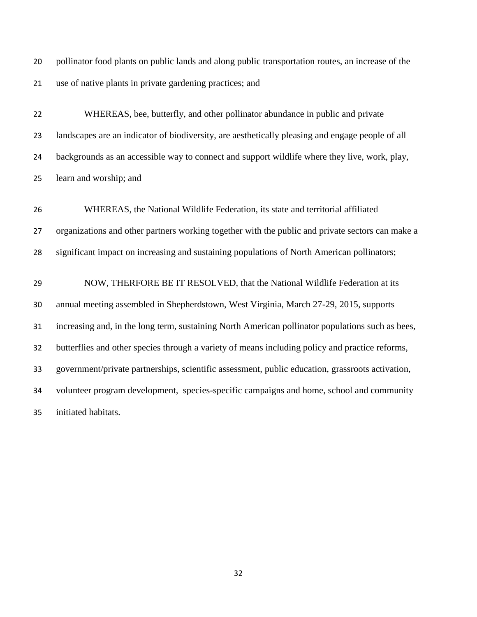pollinator food plants on public lands and along public transportation routes, an increase of the use of native plants in private gardening practices; and

 WHEREAS, bee, butterfly, and other pollinator abundance in public and private landscapes are an indicator of biodiversity, are aesthetically pleasing and engage people of all backgrounds as an accessible way to connect and support wildlife where they live, work, play, learn and worship; and

 WHEREAS, the National Wildlife Federation, its state and territorial affiliated organizations and other partners working together with the public and private sectors can make a 28 significant impact on increasing and sustaining populations of North American pollinators;

 NOW, THERFORE BE IT RESOLVED, that the National Wildlife Federation at its annual meeting assembled in Shepherdstown, West Virginia, March 27-29, 2015, supports increasing and, in the long term, sustaining North American pollinator populations such as bees, butterflies and other species through a variety of means including policy and practice reforms, government/private partnerships, scientific assessment, public education, grassroots activation, volunteer program development, species-specific campaigns and home, school and community initiated habitats.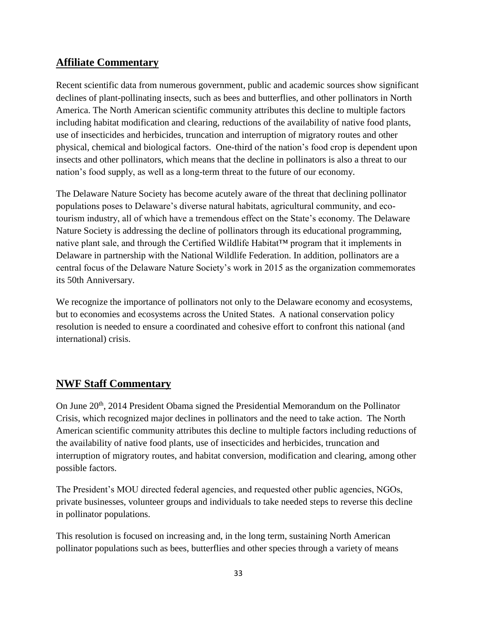## **Affiliate Commentary**

Recent scientific data from numerous government, public and academic sources show significant declines of plant-pollinating insects, such as bees and butterflies, and other pollinators in North America. The North American scientific community attributes this decline to multiple factors including habitat modification and clearing, reductions of the availability of native food plants, use of insecticides and herbicides, truncation and interruption of migratory routes and other physical, chemical and biological factors. One-third of the nation's food crop is dependent upon insects and other pollinators, which means that the decline in pollinators is also a threat to our nation's food supply, as well as a long-term threat to the future of our economy.

The Delaware Nature Society has become acutely aware of the threat that declining pollinator populations poses to Delaware's diverse natural habitats, agricultural community, and ecotourism industry, all of which have a tremendous effect on the State's economy. The Delaware Nature Society is addressing the decline of pollinators through its educational programming, native plant sale, and through the Certified Wildlife Habitat™ program that it implements in Delaware in partnership with the National Wildlife Federation. In addition, pollinators are a central focus of the Delaware Nature Society's work in 2015 as the organization commemorates its 50th Anniversary.

We recognize the importance of pollinators not only to the Delaware economy and ecosystems, but to economies and ecosystems across the United States. A national conservation policy resolution is needed to ensure a coordinated and cohesive effort to confront this national (and international) crisis.

# **NWF Staff Commentary**

On June 20<sup>th</sup>, 2014 President Obama signed the Presidential Memorandum on the Pollinator Crisis, which recognized major declines in pollinators and the need to take action. The North American scientific community attributes this decline to multiple factors including reductions of the availability of native food plants, use of insecticides and herbicides, truncation and interruption of migratory routes, and habitat conversion, modification and clearing, among other possible factors.

The President's MOU directed federal agencies, and requested other public agencies, NGOs, private businesses, volunteer groups and individuals to take needed steps to reverse this decline in pollinator populations.

This resolution is focused on increasing and, in the long term, sustaining North American pollinator populations such as bees, butterflies and other species through a variety of means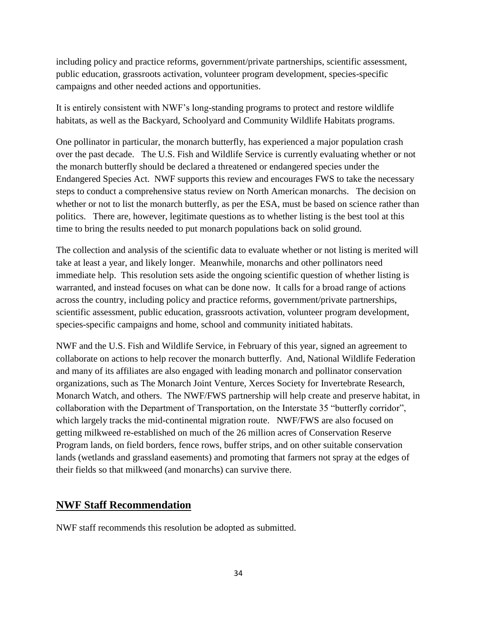including policy and practice reforms, government/private partnerships, scientific assessment, public education, grassroots activation, volunteer program development, species-specific campaigns and other needed actions and opportunities.

It is entirely consistent with NWF's long-standing programs to protect and restore wildlife habitats, as well as the Backyard, Schoolyard and Community Wildlife Habitats programs.

One pollinator in particular, the monarch butterfly, has experienced a major population crash over the past decade. The U.S. Fish and Wildlife Service is currently evaluating whether or not the monarch butterfly should be declared a threatened or endangered species under the Endangered Species Act. NWF supports this review and encourages FWS to take the necessary steps to conduct a comprehensive status review on North American monarchs. The decision on whether or not to list the monarch butterfly, as per the ESA, must be based on science rather than politics. There are, however, legitimate questions as to whether listing is the best tool at this time to bring the results needed to put monarch populations back on solid ground.

The collection and analysis of the scientific data to evaluate whether or not listing is merited will take at least a year, and likely longer. Meanwhile, monarchs and other pollinators need immediate help. This resolution sets aside the ongoing scientific question of whether listing is warranted, and instead focuses on what can be done now. It calls for a broad range of actions across the country, including policy and practice reforms, government/private partnerships, scientific assessment, public education, grassroots activation, volunteer program development, species-specific campaigns and home, school and community initiated habitats.

NWF and the U.S. Fish and Wildlife Service, in February of this year, signed an agreement to collaborate on actions to help recover the monarch butterfly. And, National Wildlife Federation and many of its affiliates are also engaged with leading monarch and pollinator conservation organizations, such as The Monarch Joint Venture, Xerces Society for Invertebrate Research, Monarch Watch, and others. The NWF/FWS partnership will help create and preserve habitat, in collaboration with the Department of Transportation, on the Interstate 35 "butterfly corridor", which largely tracks the mid-continental migration route. NWF/FWS are also focused on getting milkweed re-established on much of the 26 million acres of Conservation Reserve Program lands, on field borders, fence rows, buffer strips, and on other suitable conservation lands (wetlands and grassland easements) and promoting that farmers not spray at the edges of their fields so that milkweed (and monarchs) can survive there.

### **NWF Staff Recommendation**

NWF staff recommends this resolution be adopted as submitted.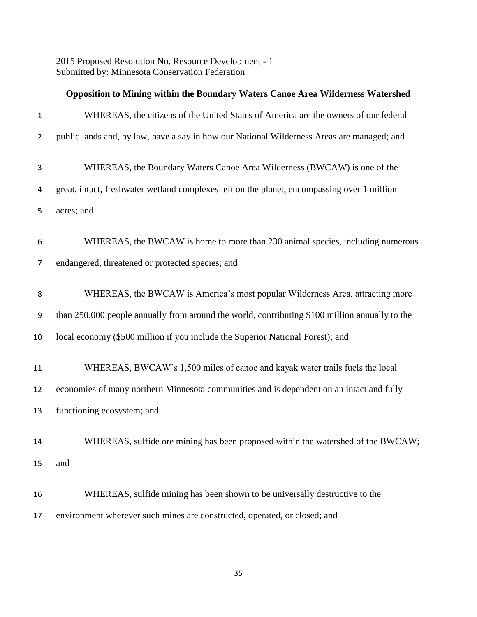2015 Proposed Resolution No. Resource Development - 1 Submitted by: Minnesota Conservation Federation

|                | Opposition to Mining within the Boundary Waters Canoe Area Wilderness Watershed                |
|----------------|------------------------------------------------------------------------------------------------|
| $\mathbf{1}$   | WHEREAS, the citizens of the United States of America are the owners of our federal            |
| $\overline{2}$ | public lands and, by law, have a say in how our National Wilderness Areas are managed; and     |
| 3              | WHEREAS, the Boundary Waters Canoe Area Wilderness (BWCAW) is one of the                       |
| 4              | great, intact, freshwater wetland complexes left on the planet, encompassing over 1 million    |
| 5              | acres; and                                                                                     |
| 6              | WHEREAS, the BWCAW is home to more than 230 animal species, including numerous                 |
| 7              | endangered, threatened or protected species; and                                               |
| 8              | WHEREAS, the BWCAW is America's most popular Wilderness Area, attracting more                  |
| 9              | than 250,000 people annually from around the world, contributing \$100 million annually to the |
| 10             | local economy (\$500 million if you include the Superior National Forest); and                 |
| 11             | WHEREAS, BWCAW's 1,500 miles of canoe and kayak water trails fuels the local                   |
| 12             | economies of many northern Minnesota communities and is dependent on an intact and fully       |
| 13             | functioning ecosystem; and                                                                     |
| 14             | WHEREAS, sulfide ore mining has been proposed within the watershed of the BWCAW;               |
| 15             | and                                                                                            |
| 16             | WHEREAS, sulfide mining has been shown to be universally destructive to the                    |
| 17             | environment wherever such mines are constructed, operated, or closed; and                      |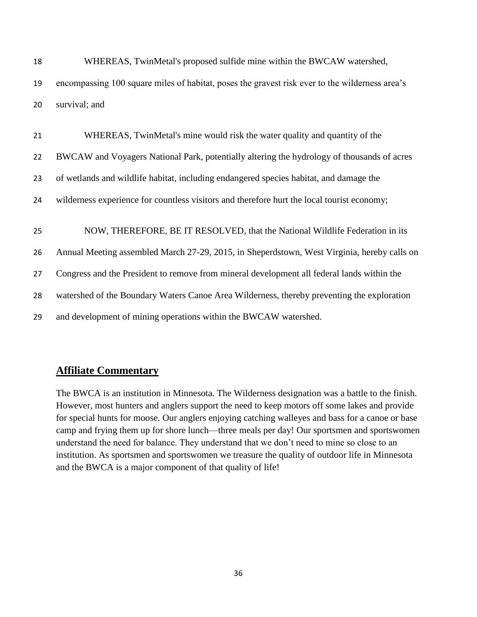| 19 | encompassing 100 square miles of habitat, poses the gravest risk ever to the wilderness area's |
|----|------------------------------------------------------------------------------------------------|
| 20 | survival; and                                                                                  |
| 21 | WHEREAS, TwinMetal's mine would risk the water quality and quantity of the                     |
| 22 | BWCAW and Voyagers National Park, potentially altering the hydrology of thousands of acres     |
| 23 | of wetlands and wildlife habitat, including endangered species habitat, and damage the         |
| 24 | wilderness experience for countless visitors and therefore hurt the local tourist economy;     |
| 25 | NOW, THEREFORE, BE IT RESOLVED, that the National Wildlife Federation in its                   |
| 26 | Annual Meeting assembled March 27-29, 2015, in Sheperdstown, West Virginia, hereby calls on    |
| 27 | Congress and the President to remove from mineral development all federal lands within the     |
| 28 | watershed of the Boundary Waters Canoe Area Wilderness, thereby preventing the exploration     |
| 29 | and development of mining operations within the BWCAW watershed.                               |

18 WHEREAS, TwinMetal's proposed sulfide mine within the BWCAW watershed,

# **Affiliate Commentary**

The BWCA is an institution in Minnesota. The Wilderness designation was a battle to the finish. However, most hunters and anglers support the need to keep motors off some lakes and provide for special hunts for moose. Our anglers enjoying catching walleyes and bass for a canoe or base camp and frying them up for shore lunch—three meals per day! Our sportsmen and sportswomen understand the need for balance. They understand that we don't need to mine so close to an institution. As sportsmen and sportswomen we treasure the quality of outdoor life in Minnesota and the BWCA is a major component of that quality of life!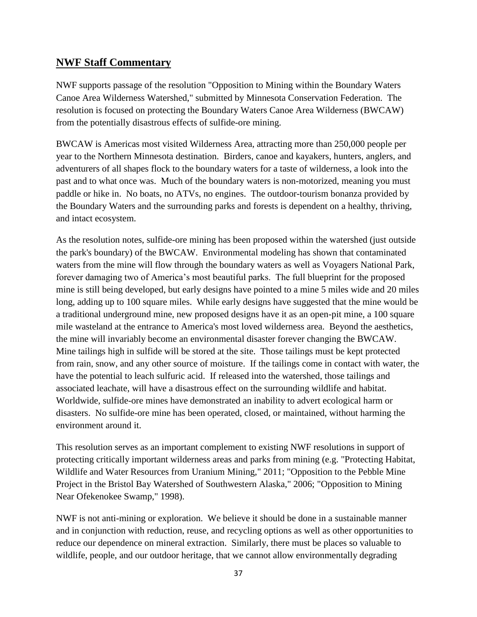## **NWF Staff Commentary**

NWF supports passage of the resolution "Opposition to Mining within the Boundary Waters Canoe Area Wilderness Watershed," submitted by Minnesota Conservation Federation. The resolution is focused on protecting the Boundary Waters Canoe Area Wilderness (BWCAW) from the potentially disastrous effects of sulfide-ore mining.

BWCAW is Americas most visited Wilderness Area, attracting more than 250,000 people per year to the Northern Minnesota destination. Birders, canoe and kayakers, hunters, anglers, and adventurers of all shapes flock to the boundary waters for a taste of wilderness, a look into the past and to what once was. Much of the boundary waters is non-motorized, meaning you must paddle or hike in. No boats, no ATVs, no engines. The outdoor-tourism bonanza provided by the Boundary Waters and the surrounding parks and forests is dependent on a healthy, thriving, and intact ecosystem.

As the resolution notes, sulfide-ore mining has been proposed within the watershed (just outside the park's boundary) of the BWCAW. Environmental modeling has shown that contaminated waters from the mine will flow through the boundary waters as well as Voyagers National Park, forever damaging two of America's most beautiful parks. The full blueprint for the proposed mine is still being developed, but early designs have pointed to a mine 5 miles wide and 20 miles long, adding up to 100 square miles. While early designs have suggested that the mine would be a traditional underground mine, new proposed designs have it as an open-pit mine, a 100 square mile wasteland at the entrance to America's most loved wilderness area. Beyond the aesthetics, the mine will invariably become an environmental disaster forever changing the BWCAW. Mine tailings high in sulfide will be stored at the site. Those tailings must be kept protected from rain, snow, and any other source of moisture. If the tailings come in contact with water, the have the potential to leach sulfuric acid. If released into the watershed, those tailings and associated leachate, will have a disastrous effect on the surrounding wildlife and habitat. Worldwide, sulfide-ore mines have demonstrated an inability to advert ecological harm or disasters. No sulfide-ore mine has been operated, closed, or maintained, without harming the environment around it.

This resolution serves as an important complement to existing NWF resolutions in support of protecting critically important wilderness areas and parks from mining (e.g. "Protecting Habitat, Wildlife and Water Resources from Uranium Mining," 2011; "Opposition to the Pebble Mine Project in the Bristol Bay Watershed of Southwestern Alaska," 2006; "Opposition to Mining Near Ofekenokee Swamp," 1998).

NWF is not anti-mining or exploration. We believe it should be done in a sustainable manner and in conjunction with reduction, reuse, and recycling options as well as other opportunities to reduce our dependence on mineral extraction. Similarly, there must be places so valuable to wildlife, people, and our outdoor heritage, that we cannot allow environmentally degrading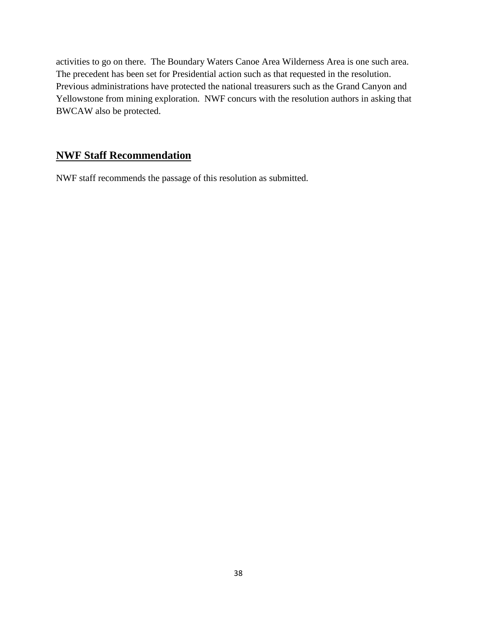activities to go on there. The Boundary Waters Canoe Area Wilderness Area is one such area. The precedent has been set for Presidential action such as that requested in the resolution. Previous administrations have protected the national treasurers such as the Grand Canyon and Yellowstone from mining exploration. NWF concurs with the resolution authors in asking that BWCAW also be protected.

# **NWF Staff Recommendation**

NWF staff recommends the passage of this resolution as submitted.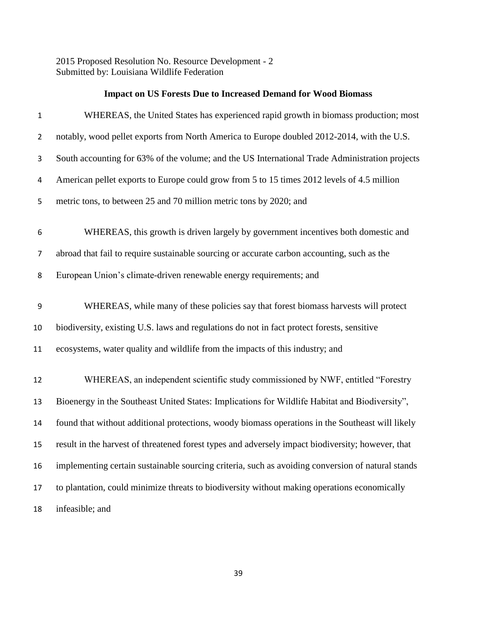2015 Proposed Resolution No. Resource Development - 2 Submitted by: Louisiana Wildlife Federation

|  |  | <b>Impact on US Forests Due to Increased Demand for Wood Biomass</b> |  |  |
|--|--|----------------------------------------------------------------------|--|--|
|--|--|----------------------------------------------------------------------|--|--|

| $\mathbf{1}$   | WHEREAS, the United States has experienced rapid growth in biomass production; most               |
|----------------|---------------------------------------------------------------------------------------------------|
| $\overline{2}$ | notably, wood pellet exports from North America to Europe doubled 2012-2014, with the U.S.        |
| 3              | South accounting for 63% of the volume; and the US International Trade Administration projects    |
| 4              | American pellet exports to Europe could grow from 5 to 15 times 2012 levels of 4.5 million        |
| 5              | metric tons, to between 25 and 70 million metric tons by 2020; and                                |
| 6              | WHEREAS, this growth is driven largely by government incentives both domestic and                 |
| 7              | abroad that fail to require sustainable sourcing or accurate carbon accounting, such as the       |
| 8              | European Union's climate-driven renewable energy requirements; and                                |
| 9              | WHEREAS, while many of these policies say that forest biomass harvests will protect               |
| 10             | biodiversity, existing U.S. laws and regulations do not in fact protect forests, sensitive        |
| 11             | ecosystems, water quality and wildlife from the impacts of this industry; and                     |
| 12             | WHEREAS, an independent scientific study commissioned by NWF, entitled "Forestry                  |
| 13             | Bioenergy in the Southeast United States: Implications for Wildlife Habitat and Biodiversity",    |
| 14             | found that without additional protections, woody biomass operations in the Southeast will likely  |
| 15             | result in the harvest of threatened forest types and adversely impact biodiversity; however, that |
| 16             | implementing certain sustainable sourcing criteria, such as avoiding conversion of natural stands |
| 17             | to plantation, could minimize threats to biodiversity without making operations economically      |
| 18             | infeasible; and                                                                                   |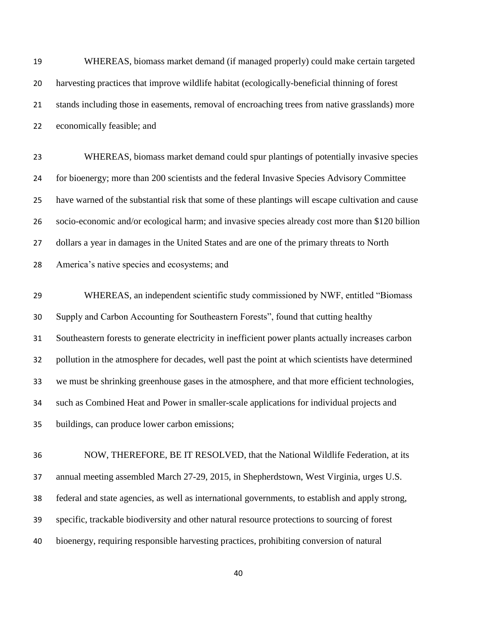| 19 | WHEREAS, biomass market demand (if managed properly) could make certain targeted                   |
|----|----------------------------------------------------------------------------------------------------|
| 20 | harvesting practices that improve wildlife habitat (ecologically-beneficial thinning of forest     |
| 21 | stands including those in easements, removal of encroaching trees from native grasslands) more     |
| 22 | economically feasible; and                                                                         |
| 23 | WHEREAS, biomass market demand could spur plantings of potentially invasive species                |
| 24 | for bioenergy; more than 200 scientists and the federal Invasive Species Advisory Committee        |
| 25 | have warned of the substantial risk that some of these plantings will escape cultivation and cause |
| 26 | socio-economic and/or ecological harm; and invasive species already cost more than \$120 billion   |
| 27 | dollars a year in damages in the United States and are one of the primary threats to North         |
| 28 | America's native species and ecosystems; and                                                       |
| 29 | WHEREAS, an independent scientific study commissioned by NWF, entitled "Biomass"                   |
| 30 | Supply and Carbon Accounting for Southeastern Forests", found that cutting healthy                 |
| 31 | Southeastern forests to generate electricity in inefficient power plants actually increases carbon |
| 32 | pollution in the atmosphere for decades, well past the point at which scientists have determined   |
| 33 | we must be shrinking greenhouse gases in the atmosphere, and that more efficient technologies,     |
| 34 | such as Combined Heat and Power in smaller-scale applications for individual projects and          |
| 35 | buildings, can produce lower carbon emissions;                                                     |
| 36 | NOW, THEREFORE, BE IT RESOLVED, that the National Wildlife Federation, at its                      |
| 37 | annual meeting assembled March 27-29, 2015, in Shepherdstown, West Virginia, urges U.S.            |
| 38 | federal and state agencies, as well as international governments, to establish and apply strong,   |
| 39 | specific, trackable biodiversity and other natural resource protections to sourcing of forest      |

bioenergy, requiring responsible harvesting practices, prohibiting conversion of natural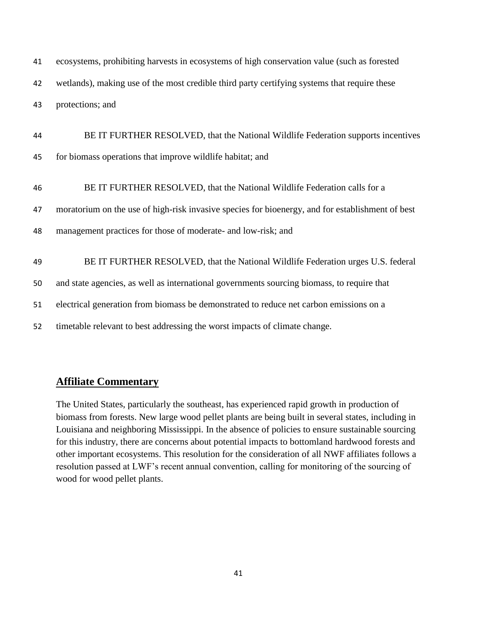ecosystems, prohibiting harvests in ecosystems of high conservation value (such as forested wetlands), making use of the most credible third party certifying systems that require these protections; and

 BE IT FURTHER RESOLVED, that the National Wildlife Federation supports incentives for biomass operations that improve wildlife habitat; and

 BE IT FURTHER RESOLVED, that the National Wildlife Federation calls for a moratorium on the use of high-risk invasive species for bioenergy, and for establishment of best management practices for those of moderate- and low-risk; and BE IT FURTHER RESOLVED, that the National Wildlife Federation urges U.S. federal and state agencies, as well as international governments sourcing biomass, to require that electrical generation from biomass be demonstrated to reduce net carbon emissions on a timetable relevant to best addressing the worst impacts of climate change.

## **Affiliate Commentary**

The United States, particularly the southeast, has experienced rapid growth in production of biomass from forests. New large wood pellet plants are being built in several states, including in Louisiana and neighboring Mississippi. In the absence of policies to ensure sustainable sourcing for this industry, there are concerns about potential impacts to bottomland hardwood forests and other important ecosystems. This resolution for the consideration of all NWF affiliates follows a resolution passed at LWF's recent annual convention, calling for monitoring of the sourcing of wood for wood pellet plants.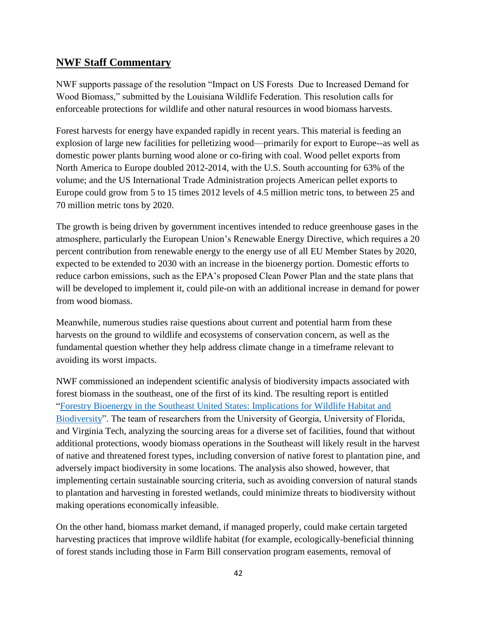# **NWF Staff Commentary**

NWF supports passage of the resolution "Impact on US Forests Due to Increased Demand for Wood Biomass," submitted by the Louisiana Wildlife Federation. This resolution calls for enforceable protections for wildlife and other natural resources in wood biomass harvests.

Forest harvests for energy have expanded rapidly in recent years. This material is feeding an explosion of large new facilities for pelletizing wood—primarily for export to Europe--as well as domestic power plants burning wood alone or co-firing with coal. Wood pellet exports from North America to Europe doubled 2012-2014, with the U.S. South accounting for 63% of the volume; and the US International Trade Administration projects American pellet exports to Europe could grow from 5 to 15 times 2012 levels of 4.5 million metric tons, to between 25 and 70 million metric tons by 2020.

The growth is being driven by government incentives intended to reduce greenhouse gases in the atmosphere, particularly the European Union's Renewable Energy Directive, which requires a 20 percent contribution from renewable energy to the energy use of all EU Member States by 2020, expected to be extended to 2030 with an increase in the bioenergy portion. Domestic efforts to reduce carbon emissions, such as the EPA's proposed Clean Power Plan and the state plans that will be developed to implement it, could pile-on with an additional increase in demand for power from wood biomass.

Meanwhile, numerous studies raise questions about current and potential harm from these harvests on the ground to wildlife and ecosystems of conservation concern, as well as the fundamental question whether they help address climate change in a timeframe relevant to avoiding its worst impacts.

NWF commissioned an independent scientific analysis of biodiversity impacts associated with forest biomass in the southeast, one of the first of its kind. The resulting report is entitled ["Forestry Bioenergy in the Southeast United States: Implications for Wildlife Habitat and](http://www.nwf.org/news-and-magazines/media-center/reports/archive/2013/12-05-13-forestry-bioenergy-in-the-southeast.aspx)  [Biodiversity"](http://www.nwf.org/news-and-magazines/media-center/reports/archive/2013/12-05-13-forestry-bioenergy-in-the-southeast.aspx). The team of researchers from the University of Georgia, University of Florida, and Virginia Tech, analyzing the sourcing areas for a diverse set of facilities, found that without additional protections, woody biomass operations in the Southeast will likely result in the harvest of native and threatened forest types, including conversion of native forest to plantation pine, and adversely impact biodiversity in some locations. The analysis also showed, however, that implementing certain sustainable sourcing criteria, such as avoiding conversion of natural stands to plantation and harvesting in forested wetlands, could minimize threats to biodiversity without making operations economically infeasible.

On the other hand, biomass market demand, if managed properly, could make certain targeted harvesting practices that improve wildlife habitat (for example, ecologically-beneficial thinning of forest stands including those in Farm Bill conservation program easements, removal of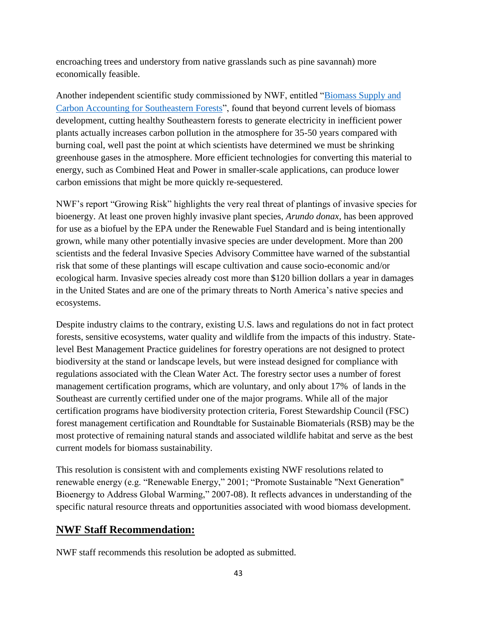encroaching trees and understory from native grasslands such as pine savannah) more economically feasible.

Another independent scientific study commissioned by NWF, entitled ["Biomass Supply and](http://www.nwf.org/news-and-magazines/media-center/reports/archive/2012/02-14-12-biomass-supply-and-carbon-accounting-for-se-forests.aspx)  [Carbon Accounting for Southeastern Forests"](http://www.nwf.org/news-and-magazines/media-center/reports/archive/2012/02-14-12-biomass-supply-and-carbon-accounting-for-se-forests.aspx), found that beyond current levels of biomass development, cutting healthy Southeastern forests to generate electricity in inefficient power plants actually increases carbon pollution in the atmosphere for 35-50 years compared with burning coal, well past the point at which scientists have determined we must be shrinking greenhouse gases in the atmosphere. More efficient technologies for converting this material to energy, such as Combined Heat and Power in smaller-scale applications, can produce lower carbon emissions that might be more quickly re-sequestered.

NWF's report "Growing Risk" highlights the very real threat of plantings of invasive species for bioenergy. At least one proven highly invasive plant species, *Arundo donax*, has been approved for use as a biofuel by the EPA under the Renewable Fuel Standard and is being intentionally grown, while many other potentially invasive species are under development. More than 200 scientists and the federal Invasive Species Advisory Committee have warned of the substantial risk that some of these plantings will escape cultivation and cause socio-economic and/or ecological harm. Invasive species already cost more than \$120 billion dollars a year in damages in the United States and are one of the primary threats to North America's native species and ecosystems.

Despite industry claims to the contrary, existing U.S. laws and regulations do not in fact protect forests, sensitive ecosystems, water quality and wildlife from the impacts of this industry. Statelevel Best Management Practice guidelines for forestry operations are not designed to protect biodiversity at the stand or landscape levels, but were instead designed for compliance with regulations associated with the Clean Water Act. The forestry sector uses a number of forest management certification programs, which are voluntary, and only about 17% of lands in the Southeast are currently certified under one of the major programs. While all of the major certification programs have biodiversity protection criteria, Forest Stewardship Council (FSC) forest management certification and Roundtable for Sustainable Biomaterials (RSB) may be the most protective of remaining natural stands and associated wildlife habitat and serve as the best current models for biomass sustainability.

This resolution is consistent with and complements existing NWF resolutions related to renewable energy (e.g. "Renewable Energy," 2001; "Promote Sustainable "Next Generation" Bioenergy to Address Global Warming," 2007-08). It reflects advances in understanding of the specific natural resource threats and opportunities associated with wood biomass development.

# **NWF Staff Recommendation:**

NWF staff recommends this resolution be adopted as submitted.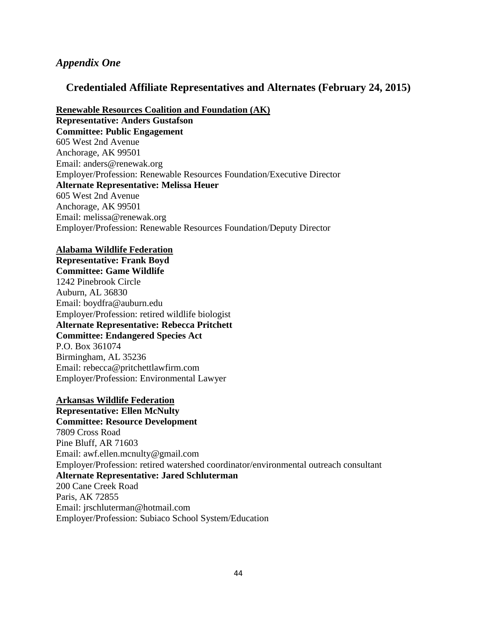## *Appendix One*

## **Credentialed Affiliate Representatives and Alternates (February 24, 2015)**

**Renewable Resources Coalition and Foundation (AK)**

**Representative: Anders Gustafson Committee: Public Engagement** 605 West 2nd Avenue Anchorage, AK 99501 Email: anders@renewak.org Employer/Profession: Renewable Resources Foundation/Executive Director **Alternate Representative: Melissa Heuer** 605 West 2nd Avenue Anchorage, AK 99501 Email: melissa@renewak.org Employer/Profession: Renewable Resources Foundation/Deputy Director

#### **Alabama Wildlife Federation**

**Representative: Frank Boyd Committee: Game Wildlife** 1242 Pinebrook Circle Auburn, AL 36830 Email: boydfra@auburn.edu Employer/Profession: retired wildlife biologist **Alternate Representative: Rebecca Pritchett Committee: Endangered Species Act** P.O. Box 361074 Birmingham, AL 35236 Email: rebecca@pritchettlawfirm.com Employer/Profession: Environmental Lawyer

### **Arkansas Wildlife Federation**

**Representative: Ellen McNulty Committee: Resource Development** 7809 Cross Road Pine Bluff, AR 71603 Email: awf.ellen.mcnulty@gmail.com Employer/Profession: retired watershed coordinator/environmental outreach consultant **Alternate Representative: Jared Schluterman** 200 Cane Creek Road Paris, AK 72855 Email: jrschluterman@hotmail.com Employer/Profession: Subiaco School System/Education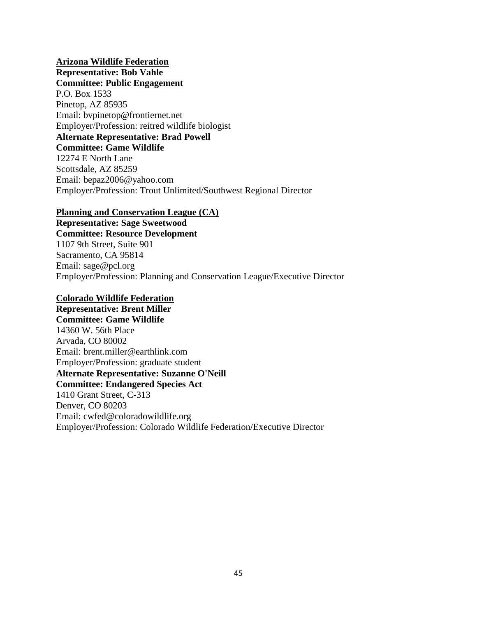**Arizona Wildlife Federation Representative: Bob Vahle Committee: Public Engagement** P.O. Box 1533 Pinetop, AZ 85935 Email: bvpinetop@frontiernet.net Employer/Profession: reitred wildlife biologist **Alternate Representative: Brad Powell Committee: Game Wildlife** 12274 E North Lane Scottsdale, AZ 85259 Email: bepaz2006@yahoo.com Employer/Profession: Trout Unlimited/Southwest Regional Director

### **Planning and Conservation League (CA)**

**Representative: Sage Sweetwood Committee: Resource Development** 1107 9th Street, Suite 901 Sacramento, CA 95814 Email: sage@pcl.org Employer/Profession: Planning and Conservation League/Executive Director

### **Colorado Wildlife Federation**

**Representative: Brent Miller Committee: Game Wildlife** 14360 W. 56th Place Arvada, CO 80002 Email: brent.miller@earthlink.com Employer/Profession: graduate student **Alternate Representative: Suzanne O'Neill Committee: Endangered Species Act** 1410 Grant Street, C-313 Denver, CO 80203 Email: cwfed@coloradowildlife.org Employer/Profession: Colorado Wildlife Federation/Executive Director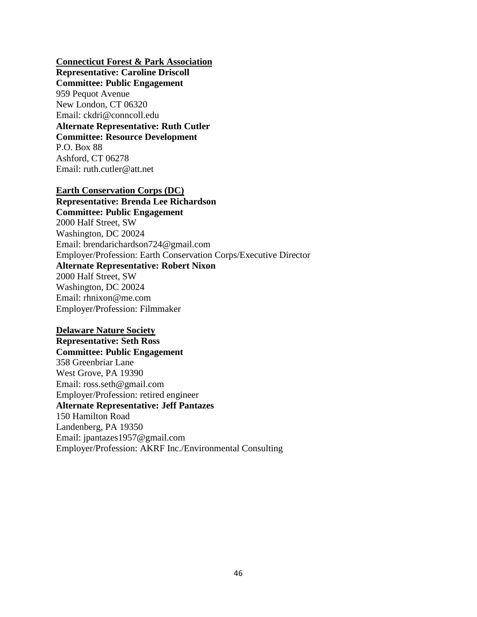#### **Connecticut Forest & Park Association**

**Representative: Caroline Driscoll Committee: Public Engagement** 959 Pequot Avenue New London, CT 06320 Email: ckdri@conncoll.edu **Alternate Representative: Ruth Cutler Committee: Resource Development** P.O. Box 88 Ashford, CT 06278 Email: ruth.cutler@att.net

#### **Earth Conservation Corps (DC)**

**Representative: Brenda Lee Richardson Committee: Public Engagement** 2000 Half Street, SW Washington, DC 20024 Email: brendarichardson724@gmail.com Employer/Profession: Earth Conservation Corps/Executive Director **Alternate Representative: Robert Nixon** 2000 Half Street, SW Washington, DC 20024 Email: rhnixon@me.com Employer/Profession: Filmmaker

#### **Delaware Nature Society**

**Representative: Seth Ross Committee: Public Engagement** 358 Greenbriar Lane West Grove, PA 19390 Email: ross.seth@gmail.com Employer/Profession: retired engineer **Alternate Representative: Jeff Pantazes** 150 Hamilton Road Landenberg, PA 19350 Email: jpantazes1957@gmail.com Employer/Profession: AKRF Inc./Environmental Consulting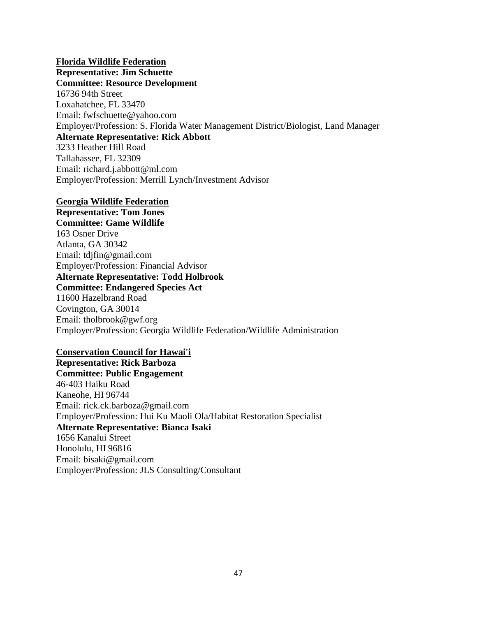### **Florida Wildlife Federation**

**Representative: Jim Schuette Committee: Resource Development** 16736 94th Street Loxahatchee, FL 33470 Email: fwfschuette@yahoo.com Employer/Profession: S. Florida Water Management District/Biologist, Land Manager **Alternate Representative: Rick Abbott** 3233 Heather Hill Road Tallahassee, FL 32309 Email: richard.j.abbott@ml.com Employer/Profession: Merrill Lynch/Investment Advisor

### **Georgia Wildlife Federation**

**Representative: Tom Jones Committee: Game Wildlife** 163 Osner Drive Atlanta, GA 30342 Email: tdjfin@gmail.com Employer/Profession: Financial Advisor **Alternate Representative: Todd Holbrook Committee: Endangered Species Act** 11600 Hazelbrand Road Covington, GA 30014 Email: tholbrook@gwf.org Employer/Profession: Georgia Wildlife Federation/Wildlife Administration

### **Conservation Council for Hawai'i**

**Representative: Rick Barboza Committee: Public Engagement** 46-403 Haiku Road Kaneohe, HI 96744 Email: rick.ck.barboza@gmail.com Employer/Profession: Hui Ku Maoli Ola/Habitat Restoration Specialist **Alternate Representative: Bianca Isaki** 1656 Kanalui Street Honolulu, HI 96816 Email: bisaki@gmail.com Employer/Profession: JLS Consulting/Consultant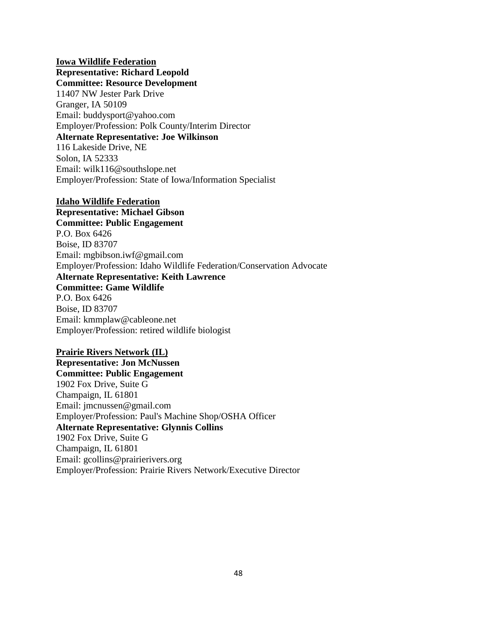**Iowa Wildlife Federation Representative: Richard Leopold Committee: Resource Development** 11407 NW Jester Park Drive Granger, IA 50109 Email: buddysport@yahoo.com Employer/Profession: Polk County/Interim Director **Alternate Representative: Joe Wilkinson** 116 Lakeside Drive, NE Solon, IA 52333 Email: wilk116@southslope.net Employer/Profession: State of Iowa/Information Specialist

#### **Idaho Wildlife Federation**

**Representative: Michael Gibson Committee: Public Engagement** P.O. Box 6426 Boise, ID 83707 Email: mgbibson.iwf@gmail.com Employer/Profession: Idaho Wildlife Federation/Conservation Advocate **Alternate Representative: Keith Lawrence Committee: Game Wildlife** P.O. Box 6426 Boise, ID 83707 Email: kmmplaw@cableone.net Employer/Profession: retired wildlife biologist

#### **Prairie Rivers Network (IL)**

**Representative: Jon McNussen Committee: Public Engagement** 1902 Fox Drive, Suite G Champaign, IL 61801 Email: jmcnussen@gmail.com Employer/Profession: Paul's Machine Shop/OSHA Officer **Alternate Representative: Glynnis Collins** 1902 Fox Drive, Suite G Champaign, IL 61801 Email: gcollins@prairierivers.org Employer/Profession: Prairie Rivers Network/Executive Director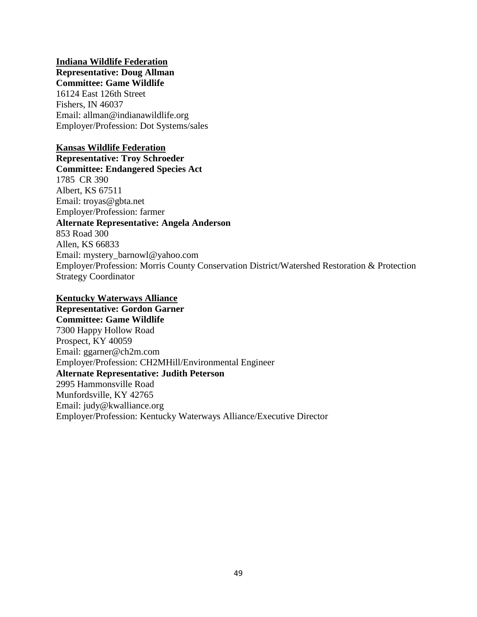### **Indiana Wildlife Federation Representative: Doug Allman**

## **Committee: Game Wildlife**

16124 East 126th Street Fishers, IN 46037 Email: allman@indianawildlife.org Employer/Profession: Dot Systems/sales

## **Kansas Wildlife Federation**

**Representative: Troy Schroeder Committee: Endangered Species Act** 1785 CR 390 Albert, KS 67511 Email: troyas@gbta.net Employer/Profession: farmer **Alternate Representative: Angela Anderson** 853 Road 300 Allen, KS 66833 Email: mystery\_barnowl@yahoo.com Employer/Profession: Morris County Conservation District/Watershed Restoration & Protection Strategy Coordinator

## **Kentucky Waterways Alliance**

**Representative: Gordon Garner Committee: Game Wildlife** 7300 Happy Hollow Road Prospect, KY 40059 Email: ggarner@ch2m.com Employer/Profession: CH2MHill/Environmental Engineer **Alternate Representative: Judith Peterson** 2995 Hammonsville Road Munfordsville, KY 42765 Email: judy@kwalliance.org Employer/Profession: Kentucky Waterways Alliance/Executive Director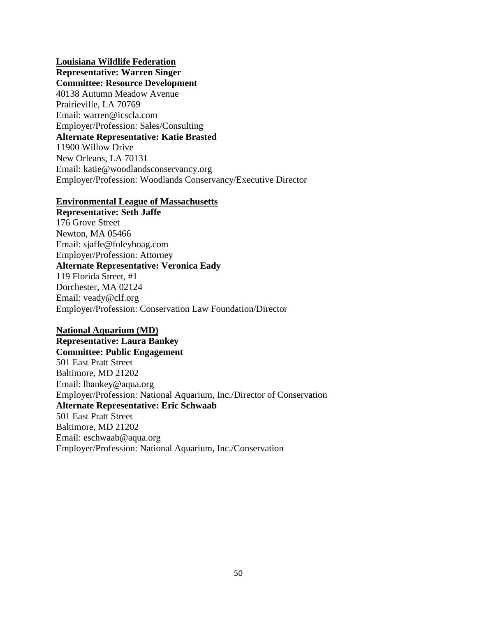### **Louisiana Wildlife Federation**

**Representative: Warren Singer Committee: Resource Development** 40138 Autumn Meadow Avenue Prairieville, LA 70769 Email: warren@icscla.com Employer/Profession: Sales/Consulting **Alternate Representative: Katie Brasted** 11900 Willow Drive New Orleans, LA 70131 Email: katie@woodlandsconservancy.org Employer/Profession: Woodlands Conservancy/Executive Director

### **Environmental League of Massachusetts**

**Representative: Seth Jaffe** 176 Grove Street Newton, MA 05466 Email: sjaffe@foleyhoag.com Employer/Profession: Attorney **Alternate Representative: Veronica Eady** 119 Florida Street, #1 Dorchester, MA 02124 Email: veady@clf.org Employer/Profession: Conservation Law Foundation/Director

### **National Aquarium (MD)**

**Representative: Laura Bankey Committee: Public Engagement** 501 East Pratt Street Baltimore, MD 21202 Email: lbankey@aqua.org Employer/Profession: National Aquarium, Inc./Director of Conservation **Alternate Representative: Eric Schwaab** 501 East Pratt Street Baltimore, MD 21202 Email: eschwaab@aqua.org Employer/Profession: National Aquarium, Inc./Conservation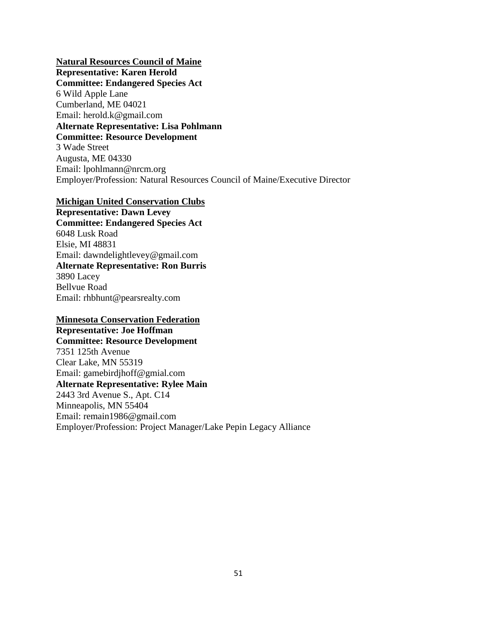**Natural Resources Council of Maine Representative: Karen Herold Committee: Endangered Species Act** 6 Wild Apple Lane Cumberland, ME 04021 Email: herold.k@gmail.com **Alternate Representative: Lisa Pohlmann Committee: Resource Development** 3 Wade Street Augusta, ME 04330 Email: lpohlmann@nrcm.org Employer/Profession: Natural Resources Council of Maine/Executive Director

#### **Michigan United Conservation Clubs**

**Representative: Dawn Levey Committee: Endangered Species Act** 6048 Lusk Road Elsie, MI 48831 Email: dawndelightlevey@gmail.com **Alternate Representative: Ron Burris** 3890 Lacey Bellvue Road Email: rhbhunt@pearsrealty.com

### **Minnesota Conservation Federation**

**Representative: Joe Hoffman Committee: Resource Development** 7351 125th Avenue Clear Lake, MN 55319 Email: gamebirdjhoff@gmial.com **Alternate Representative: Rylee Main** 2443 3rd Avenue S., Apt. C14 Minneapolis, MN 55404 Email: remain1986@gmail.com Employer/Profession: Project Manager/Lake Pepin Legacy Alliance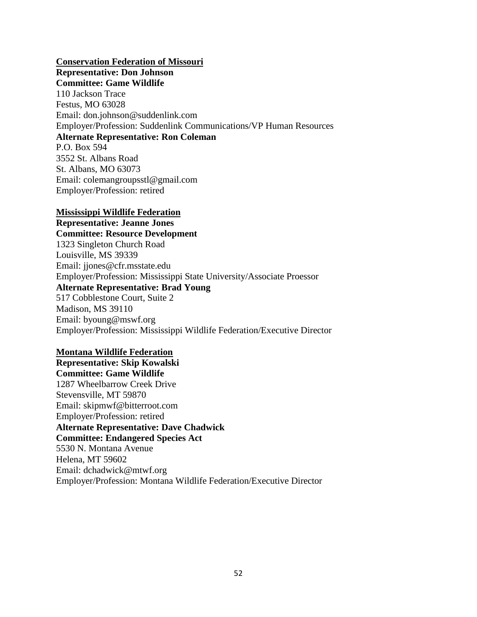**Conservation Federation of Missouri Representative: Don Johnson Committee: Game Wildlife** 110 Jackson Trace Festus, MO 63028 Email: don.johnson@suddenlink.com Employer/Profession: Suddenlink Communications/VP Human Resources **Alternate Representative: Ron Coleman** P.O. Box 594 3552 St. Albans Road St. Albans, MO 63073

Email: colemangroupsstl@gmail.com Employer/Profession: retired

#### **Mississippi Wildlife Federation**

**Representative: Jeanne Jones Committee: Resource Development** 1323 Singleton Church Road Louisville, MS 39339 Email: jjones@cfr.msstate.edu Employer/Profession: Mississippi State University/Associate Proessor **Alternate Representative: Brad Young** 517 Cobblestone Court, Suite 2 Madison, MS 39110 Email: byoung@mswf.org Employer/Profession: Mississippi Wildlife Federation/Executive Director

#### **Montana Wildlife Federation**

**Representative: Skip Kowalski Committee: Game Wildlife** 1287 Wheelbarrow Creek Drive Stevensville, MT 59870 Email: skipmwf@bitterroot.com Employer/Profession: retired **Alternate Representative: Dave Chadwick Committee: Endangered Species Act** 5530 N. Montana Avenue Helena, MT 59602 Email: dchadwick@mtwf.org Employer/Profession: Montana Wildlife Federation/Executive Director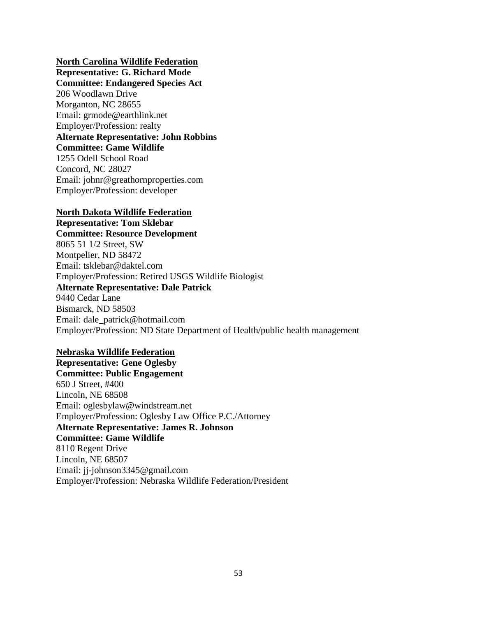### **North Carolina Wildlife Federation**

**Representative: G. Richard Mode Committee: Endangered Species Act** 206 Woodlawn Drive Morganton, NC 28655 Email: grmode@earthlink.net Employer/Profession: realty **Alternate Representative: John Robbins Committee: Game Wildlife** 1255 Odell School Road Concord, NC 28027 Email: johnr@greathornproperties.com Employer/Profession: developer

### **North Dakota Wildlife Federation**

**Representative: Tom Sklebar Committee: Resource Development** 8065 51 1/2 Street, SW Montpelier, ND 58472 Email: tsklebar@daktel.com Employer/Profession: Retired USGS Wildlife Biologist **Alternate Representative: Dale Patrick** 9440 Cedar Lane Bismarck, ND 58503 Email: dale\_patrick@hotmail.com Employer/Profession: ND State Department of Health/public health management

### **Nebraska Wildlife Federation**

**Representative: Gene Oglesby Committee: Public Engagement** 650 J Street, #400 Lincoln, NE 68508 Email: oglesbylaw@windstream.net Employer/Profession: Oglesby Law Office P.C./Attorney **Alternate Representative: James R. Johnson Committee: Game Wildlife** 8110 Regent Drive Lincoln, NE 68507 Email: jj-johnson3345@gmail.com Employer/Profession: Nebraska Wildlife Federation/President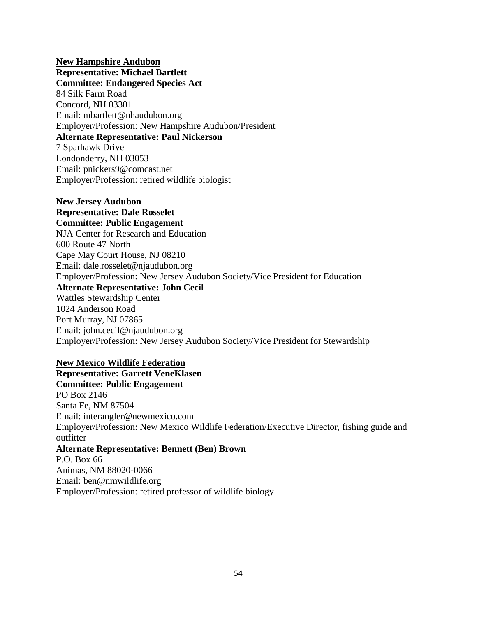**New Hampshire Audubon Representative: Michael Bartlett Committee: Endangered Species Act** 84 Silk Farm Road Concord, NH 03301 Email: mbartlett@nhaudubon.org Employer/Profession: New Hampshire Audubon/President **Alternate Representative: Paul Nickerson** 7 Sparhawk Drive Londonderry, NH 03053 Email: pnickers9@comcast.net Employer/Profession: retired wildlife biologist

**New Jersey Audubon Representative: Dale Rosselet Committee: Public Engagement** NJA Center for Research and Education 600 Route 47 North Cape May Court House, NJ 08210 Email: dale.rosselet@njaudubon.org Employer/Profession: New Jersey Audubon Society/Vice President for Education **Alternate Representative: John Cecil** Wattles Stewardship Center 1024 Anderson Road Port Murray, NJ 07865 Email: john.cecil@njaudubon.org Employer/Profession: New Jersey Audubon Society/Vice President for Stewardship

### **New Mexico Wildlife Federation**

**Representative: Garrett VeneKlasen Committee: Public Engagement** PO Box 2146 Santa Fe, NM 87504 Email: interangler@newmexico.com Employer/Profession: New Mexico Wildlife Federation/Executive Director, fishing guide and outfitter **Alternate Representative: Bennett (Ben) Brown** P.O. Box 66 Animas, NM 88020-0066 Email: ben@nmwildlife.org Employer/Profession: retired professor of wildlife biology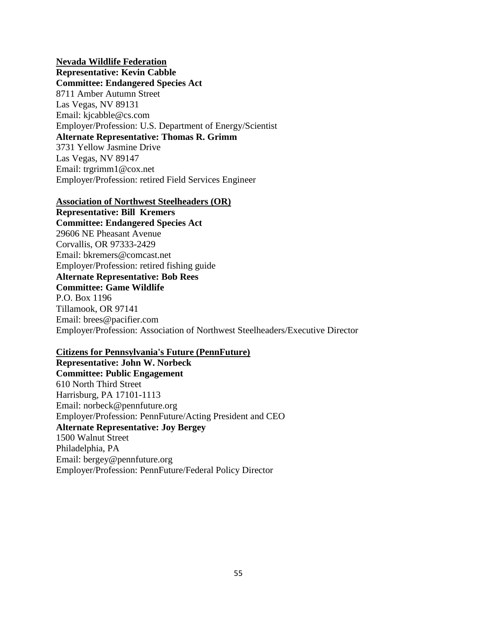## **Nevada Wildlife Federation**

**Representative: Kevin Cabble Committee: Endangered Species Act** 8711 Amber Autumn Street Las Vegas, NV 89131 Email: kjcabble@cs.com Employer/Profession: U.S. Department of Energy/Scientist **Alternate Representative: Thomas R. Grimm** 3731 Yellow Jasmine Drive Las Vegas, NV 89147 Email: trgrimm1@cox.net Employer/Profession: retired Field Services Engineer

#### **Association of Northwest Steelheaders (OR)**

**Representative: Bill Kremers Committee: Endangered Species Act** 29606 NE Pheasant Avenue Corvallis, OR 97333-2429 Email: bkremers@comcast.net Employer/Profession: retired fishing guide **Alternate Representative: Bob Rees Committee: Game Wildlife** P.O. Box 1196 Tillamook, OR 97141 Email: brees@pacifier.com Employer/Profession: Association of Northwest Steelheaders/Executive Director

### **Citizens for Pennsylvania's Future (PennFuture)**

**Representative: John W. Norbeck Committee: Public Engagement** 610 North Third Street Harrisburg, PA 17101-1113 Email: norbeck@pennfuture.org Employer/Profession: PennFuture/Acting President and CEO **Alternate Representative: Joy Bergey** 1500 Walnut Street Philadelphia, PA Email: bergey@pennfuture.org Employer/Profession: PennFuture/Federal Policy Director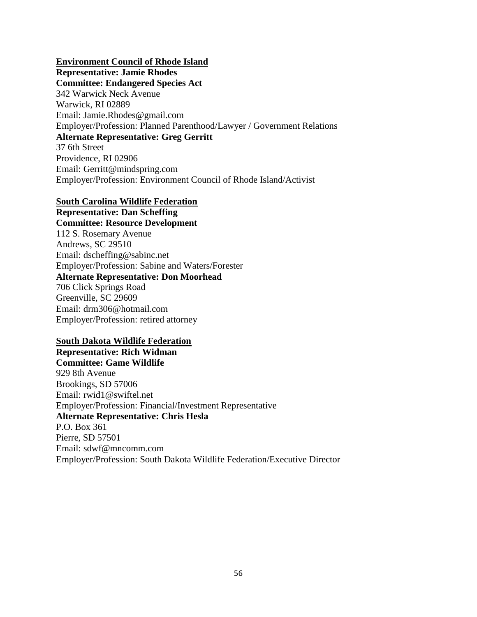### **Environment Council of Rhode Island**

**Representative: Jamie Rhodes Committee: Endangered Species Act** 342 Warwick Neck Avenue Warwick, RI 02889 Email: Jamie.Rhodes@gmail.com Employer/Profession: Planned Parenthood/Lawyer / Government Relations **Alternate Representative: Greg Gerritt** 37 6th Street Providence, RI 02906 Email: Gerritt@mindspring.com

Employer/Profession: Environment Council of Rhode Island/Activist

### **South Carolina Wildlife Federation**

**Representative: Dan Scheffing Committee: Resource Development** 112 S. Rosemary Avenue Andrews, SC 29510 Email: dscheffing@sabinc.net Employer/Profession: Sabine and Waters/Forester **Alternate Representative: Don Moorhead** 706 Click Springs Road Greenville, SC 29609 Email: drm306@hotmail.com Employer/Profession: retired attorney

### **South Dakota Wildlife Federation**

**Representative: Rich Widman Committee: Game Wildlife** 929 8th Avenue Brookings, SD 57006 Email: rwid1@swiftel.net Employer/Profession: Financial/Investment Representative **Alternate Representative: Chris Hesla** P.O. Box 361 Pierre, SD 57501 Email: sdwf@mncomm.com Employer/Profession: South Dakota Wildlife Federation/Executive Director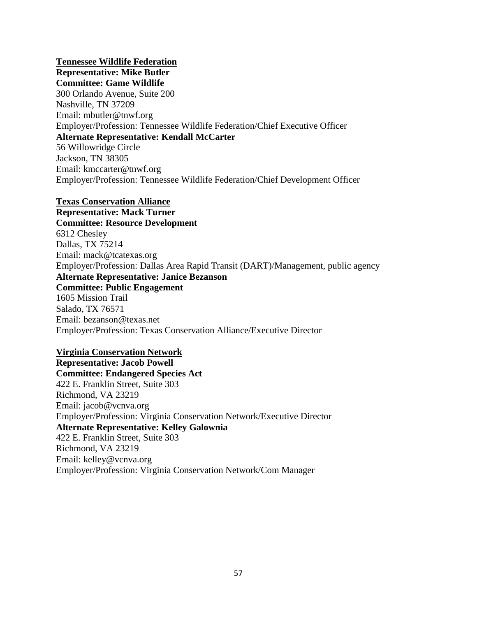**Tennessee Wildlife Federation Representative: Mike Butler Committee: Game Wildlife** 300 Orlando Avenue, Suite 200 Nashville, TN 37209 Email: mbutler@tnwf.org Employer/Profession: Tennessee Wildlife Federation/Chief Executive Officer **Alternate Representative: Kendall McCarter** 56 Willowridge Circle Jackson, TN 38305 Email: kmccarter@tnwf.org Employer/Profession: Tennessee Wildlife Federation/Chief Development Officer

#### **Texas Conservation Alliance**

**Representative: Mack Turner Committee: Resource Development** 6312 Chesley Dallas, TX 75214 Email: mack@tcatexas.org Employer/Profession: Dallas Area Rapid Transit (DART)/Management, public agency **Alternate Representative: Janice Bezanson Committee: Public Engagement** 1605 Mission Trail Salado, TX 76571 Email: bezanson@texas.net Employer/Profession: Texas Conservation Alliance/Executive Director

#### **Virginia Conservation Network**

**Representative: Jacob Powell Committee: Endangered Species Act** 422 E. Franklin Street, Suite 303 Richmond, VA 23219 Email: jacob@vcnva.org Employer/Profession: Virginia Conservation Network/Executive Director **Alternate Representative: Kelley Galownia** 422 E. Franklin Street, Suite 303 Richmond, VA 23219 Email: kelley@vcnva.org Employer/Profession: Virginia Conservation Network/Com Manager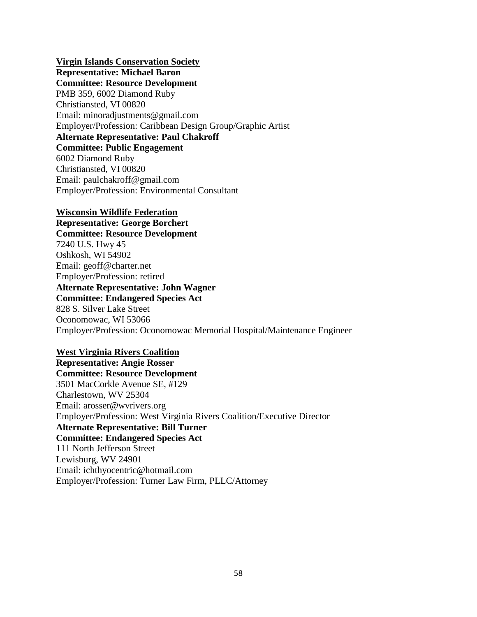**Virgin Islands Conservation Society**

**Representative: Michael Baron Committee: Resource Development** PMB 359, 6002 Diamond Ruby Christiansted, VI 00820 Email: minoradjustments@gmail.com Employer/Profession: Caribbean Design Group/Graphic Artist **Alternate Representative: Paul Chakroff Committee: Public Engagement** 6002 Diamond Ruby Christiansted, VI 00820 Email: paulchakroff@gmail.com Employer/Profession: Environmental Consultant

### **Wisconsin Wildlife Federation**

**Representative: George Borchert Committee: Resource Development** 7240 U.S. Hwy 45 Oshkosh, WI 54902 Email: geoff@charter.net Employer/Profession: retired **Alternate Representative: John Wagner Committee: Endangered Species Act** 828 S. Silver Lake Street Oconomowac, WI 53066 Employer/Profession: Oconomowac Memorial Hospital/Maintenance Engineer

### **West Virginia Rivers Coalition**

**Representative: Angie Rosser Committee: Resource Development** 3501 MacCorkle Avenue SE, #129 Charlestown, WV 25304 Email: arosser@wvrivers.org Employer/Profession: West Virginia Rivers Coalition/Executive Director **Alternate Representative: Bill Turner Committee: Endangered Species Act** 111 North Jefferson Street Lewisburg, WV 24901 Email: ichthyocentric@hotmail.com Employer/Profession: Turner Law Firm, PLLC/Attorney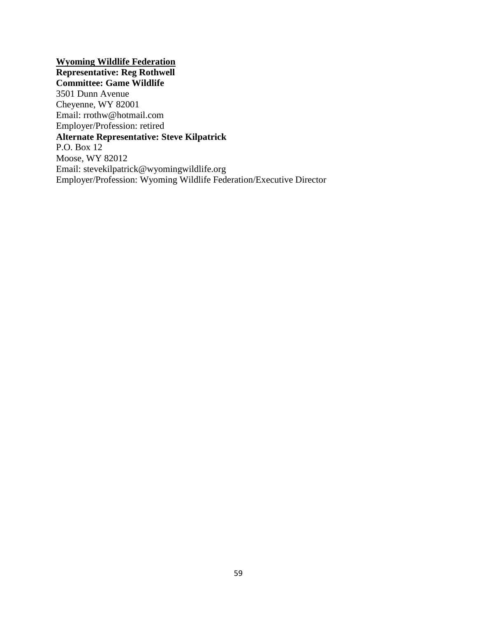**Wyoming Wildlife Federation Representative: Reg Rothwell Committee: Game Wildlife** 3501 Dunn Avenue Cheyenne, WY 82001 Email: rrothw@hotmail.com Employer/Profession: retired **Alternate Representative: Steve Kilpatrick** P.O. Box 12 Moose, WY 82012 Email: stevekilpatrick@wyomingwildlife.org Employer/Profession: Wyoming Wildlife Federation/Executive Director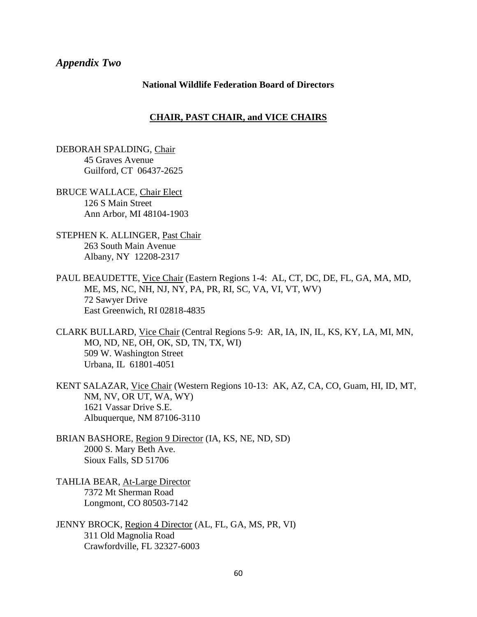### *Appendix Two*

#### **National Wildlife Federation Board of Directors**

### **CHAIR, PAST CHAIR, and VICE CHAIRS**

DEBORAH SPALDING, Chair 45 Graves Avenue Guilford, CT 06437-2625

BRUCE WALLACE, Chair Elect 126 S Main Street Ann Arbor, MI 48104-1903

- STEPHEN K. ALLINGER, Past Chair 263 South Main Avenue Albany, NY 12208-2317
- PAUL BEAUDETTE, Vice Chair (Eastern Regions 1-4: AL, CT, DC, DE, FL, GA, MA, MD, ME, MS, NC, NH, NJ, NY, PA, PR, RI, SC, VA, VI, VT, WV) 72 Sawyer Drive East Greenwich, RI 02818-4835
- CLARK BULLARD, Vice Chair (Central Regions 5-9: AR, IA, IN, IL, KS, KY, LA, MI, MN, MO, ND, NE, OH, OK, SD, TN, TX, WI) 509 W. Washington Street Urbana, IL 61801-4051
- KENT SALAZAR, Vice Chair (Western Regions 10-13: AK, AZ, CA, CO, Guam, HI, ID, MT, NM, NV, OR UT, WA, WY) 1621 Vassar Drive S.E. Albuquerque, NM 87106-3110
- BRIAN BASHORE, Region 9 Director (IA, KS, NE, ND, SD) 2000 S. Mary Beth Ave. Sioux Falls, SD 51706
- TAHLIA BEAR, At-Large Director 7372 Mt Sherman Road Longmont, CO 80503-7142
- JENNY BROCK, Region 4 Director (AL, FL, GA, MS, PR, VI) 311 Old Magnolia Road Crawfordville, FL 32327-6003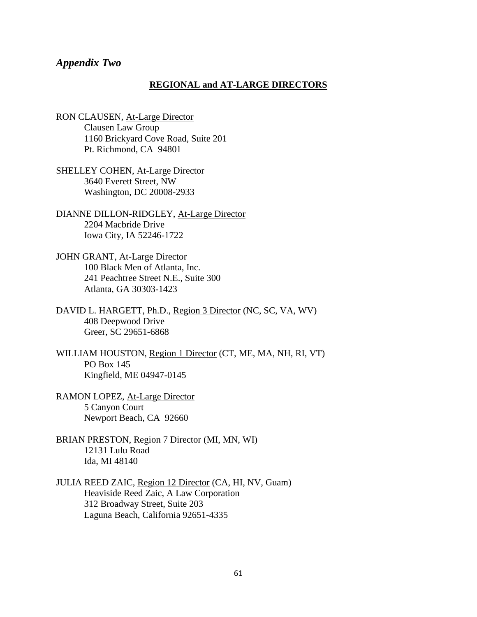### *Appendix Two*

#### **REGIONAL and AT-LARGE DIRECTORS**

- RON CLAUSEN, At-Large Director Clausen Law Group 1160 Brickyard Cove Road, Suite 201 Pt. Richmond, CA 94801
- SHELLEY COHEN, At-Large Director 3640 Everett Street, NW Washington, DC 20008-2933
- DIANNE DILLON-RIDGLEY, At-Large Director 2204 Macbride Drive Iowa City, IA 52246-1722
- JOHN GRANT, At-Large Director 100 Black Men of Atlanta, Inc. 241 Peachtree Street N.E., Suite 300 Atlanta, GA 30303-1423
- DAVID L. HARGETT, Ph.D., Region 3 Director (NC, SC, VA, WV) 408 Deepwood Drive Greer, SC 29651-6868
- WILLIAM HOUSTON, Region 1 Director (CT, ME, MA, NH, RI, VT) PO Box 145 Kingfield, ME 04947-0145
- RAMON LOPEZ, At-Large Director 5 Canyon Court Newport Beach, CA 92660
- BRIAN PRESTON, Region 7 Director (MI, MN, WI) 12131 Lulu Road Ida, MI 48140
- JULIA REED ZAIC, Region 12 Director (CA, HI, NV, Guam) Heaviside Reed Zaic, A Law Corporation 312 Broadway Street, Suite 203 Laguna Beach, California 92651-4335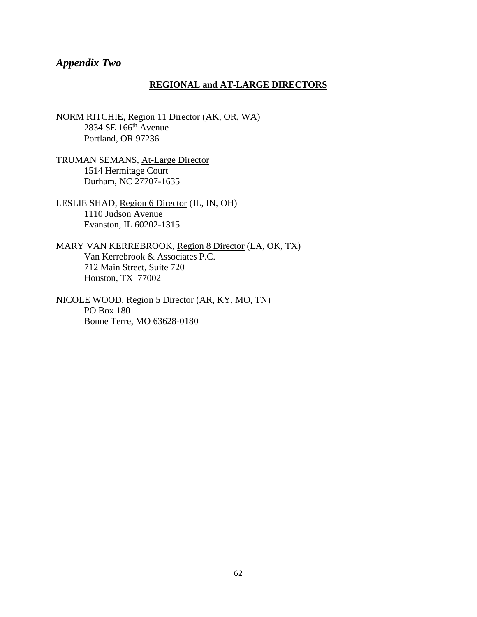## *Appendix Two*

#### **REGIONAL and AT-LARGE DIRECTORS**

NORM RITCHIE, Region 11 Director (AK, OR, WA) 2834 SE 166th Avenue Portland, OR 97236

TRUMAN SEMANS, At-Large Director 1514 Hermitage Court Durham, NC 27707-1635

LESLIE SHAD, Region 6 Director (IL, IN, OH) 1110 Judson Avenue Evanston, IL 60202-1315

MARY VAN KERREBROOK, Region 8 Director (LA, OK, TX) Van Kerrebrook & Associates P.C. 712 Main Street, Suite 720 Houston, TX 77002

NICOLE WOOD, Region 5 Director (AR, KY, MO, TN) PO Box 180 Bonne Terre, MO 63628-0180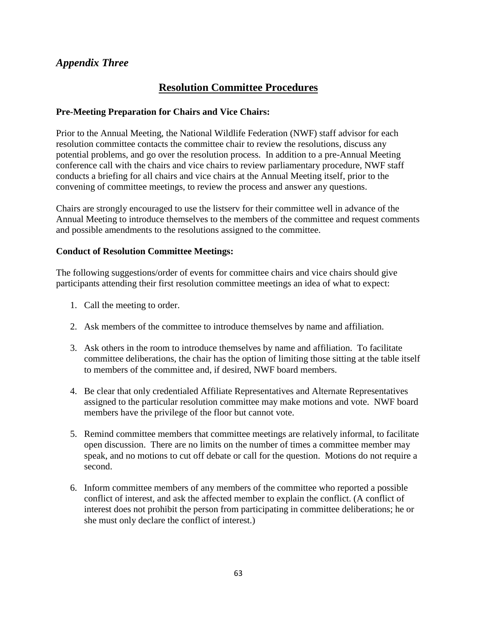# **Resolution Committee Procedures**

## **Pre-Meeting Preparation for Chairs and Vice Chairs:**

Prior to the Annual Meeting, the National Wildlife Federation (NWF) staff advisor for each resolution committee contacts the committee chair to review the resolutions, discuss any potential problems, and go over the resolution process. In addition to a pre-Annual Meeting conference call with the chairs and vice chairs to review parliamentary procedure, NWF staff conducts a briefing for all chairs and vice chairs at the Annual Meeting itself, prior to the convening of committee meetings, to review the process and answer any questions.

Chairs are strongly encouraged to use the listserv for their committee well in advance of the Annual Meeting to introduce themselves to the members of the committee and request comments and possible amendments to the resolutions assigned to the committee.

## **Conduct of Resolution Committee Meetings:**

The following suggestions/order of events for committee chairs and vice chairs should give participants attending their first resolution committee meetings an idea of what to expect:

- 1. Call the meeting to order.
- 2. Ask members of the committee to introduce themselves by name and affiliation.
- 3. Ask others in the room to introduce themselves by name and affiliation. To facilitate committee deliberations, the chair has the option of limiting those sitting at the table itself to members of the committee and, if desired, NWF board members.
- 4. Be clear that only credentialed Affiliate Representatives and Alternate Representatives assigned to the particular resolution committee may make motions and vote. NWF board members have the privilege of the floor but cannot vote.
- 5. Remind committee members that committee meetings are relatively informal, to facilitate open discussion. There are no limits on the number of times a committee member may speak, and no motions to cut off debate or call for the question. Motions do not require a second.
- 6. Inform committee members of any members of the committee who reported a possible conflict of interest, and ask the affected member to explain the conflict. (A conflict of interest does not prohibit the person from participating in committee deliberations; he or she must only declare the conflict of interest.)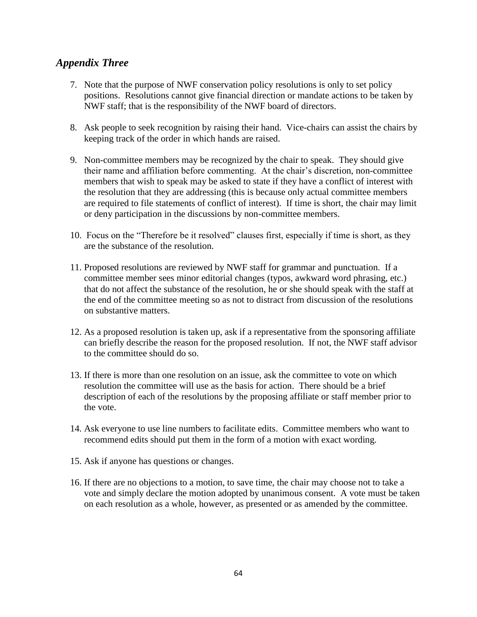- 7. Note that the purpose of NWF conservation policy resolutions is only to set policy positions. Resolutions cannot give financial direction or mandate actions to be taken by NWF staff; that is the responsibility of the NWF board of directors.
- 8. Ask people to seek recognition by raising their hand. Vice-chairs can assist the chairs by keeping track of the order in which hands are raised.
- 9. Non-committee members may be recognized by the chair to speak. They should give their name and affiliation before commenting. At the chair's discretion, non-committee members that wish to speak may be asked to state if they have a conflict of interest with the resolution that they are addressing (this is because only actual committee members are required to file statements of conflict of interest). If time is short, the chair may limit or deny participation in the discussions by non-committee members.
- 10. Focus on the "Therefore be it resolved" clauses first, especially if time is short, as they are the substance of the resolution.
- 11. Proposed resolutions are reviewed by NWF staff for grammar and punctuation. If a committee member sees minor editorial changes (typos, awkward word phrasing, etc.) that do not affect the substance of the resolution, he or she should speak with the staff at the end of the committee meeting so as not to distract from discussion of the resolutions on substantive matters.
- 12. As a proposed resolution is taken up, ask if a representative from the sponsoring affiliate can briefly describe the reason for the proposed resolution. If not, the NWF staff advisor to the committee should do so.
- 13. If there is more than one resolution on an issue, ask the committee to vote on which resolution the committee will use as the basis for action. There should be a brief description of each of the resolutions by the proposing affiliate or staff member prior to the vote.
- 14. Ask everyone to use line numbers to facilitate edits. Committee members who want to recommend edits should put them in the form of a motion with exact wording.
- 15. Ask if anyone has questions or changes.
- 16. If there are no objections to a motion, to save time, the chair may choose not to take a vote and simply declare the motion adopted by unanimous consent. A vote must be taken on each resolution as a whole, however, as presented or as amended by the committee.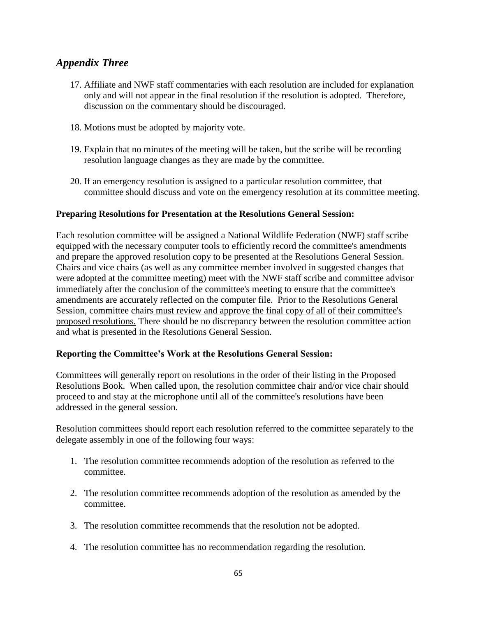- 17. Affiliate and NWF staff commentaries with each resolution are included for explanation only and will not appear in the final resolution if the resolution is adopted. Therefore, discussion on the commentary should be discouraged.
- 18. Motions must be adopted by majority vote.
- 19. Explain that no minutes of the meeting will be taken, but the scribe will be recording resolution language changes as they are made by the committee.
- 20. If an emergency resolution is assigned to a particular resolution committee, that committee should discuss and vote on the emergency resolution at its committee meeting.

## **Preparing Resolutions for Presentation at the Resolutions General Session:**

Each resolution committee will be assigned a National Wildlife Federation (NWF) staff scribe equipped with the necessary computer tools to efficiently record the committee's amendments and prepare the approved resolution copy to be presented at the Resolutions General Session. Chairs and vice chairs (as well as any committee member involved in suggested changes that were adopted at the committee meeting) meet with the NWF staff scribe and committee advisor immediately after the conclusion of the committee's meeting to ensure that the committee's amendments are accurately reflected on the computer file. Prior to the Resolutions General Session, committee chairs must review and approve the final copy of all of their committee's proposed resolutions. There should be no discrepancy between the resolution committee action and what is presented in the Resolutions General Session.

### **Reporting the Committee's Work at the Resolutions General Session:**

Committees will generally report on resolutions in the order of their listing in the Proposed Resolutions Book. When called upon, the resolution committee chair and/or vice chair should proceed to and stay at the microphone until all of the committee's resolutions have been addressed in the general session.

Resolution committees should report each resolution referred to the committee separately to the delegate assembly in one of the following four ways:

- 1. The resolution committee recommends adoption of the resolution as referred to the committee.
- 2. The resolution committee recommends adoption of the resolution as amended by the committee.
- 3. The resolution committee recommends that the resolution not be adopted.
- 4. The resolution committee has no recommendation regarding the resolution.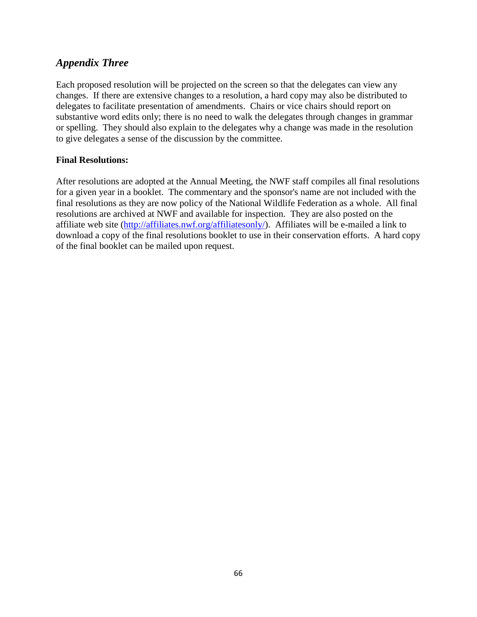Each proposed resolution will be projected on the screen so that the delegates can view any changes. If there are extensive changes to a resolution, a hard copy may also be distributed to delegates to facilitate presentation of amendments. Chairs or vice chairs should report on substantive word edits only; there is no need to walk the delegates through changes in grammar or spelling. They should also explain to the delegates why a change was made in the resolution to give delegates a sense of the discussion by the committee.

## **Final Resolutions:**

After resolutions are adopted at the Annual Meeting, the NWF staff compiles all final resolutions for a given year in a booklet. The commentary and the sponsor's name are not included with the final resolutions as they are now policy of the National Wildlife Federation as a whole. All final resolutions are archived at NWF and available for inspection. They are also posted on the affiliate web site [\(http://affiliates.nwf.org/affiliatesonly/\)](http://affiliates.nwf.org/affiliatesonly/). Affiliates will be e-mailed a link to download a copy of the final resolutions booklet to use in their conservation efforts. A hard copy of the final booklet can be mailed upon request.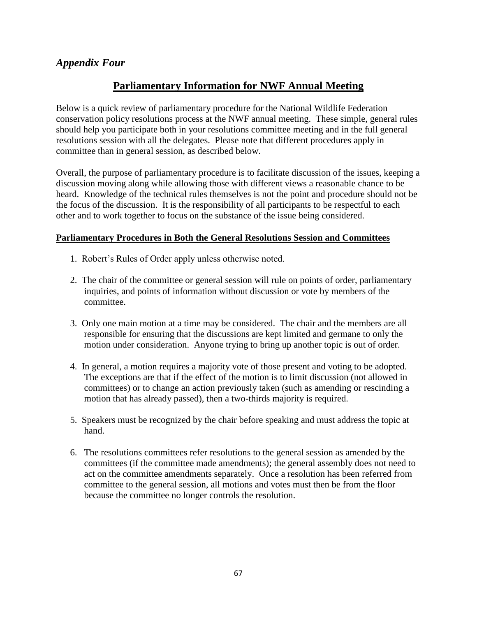# **Parliamentary Information for NWF Annual Meeting**

Below is a quick review of parliamentary procedure for the National Wildlife Federation conservation policy resolutions process at the NWF annual meeting. These simple, general rules should help you participate both in your resolutions committee meeting and in the full general resolutions session with all the delegates. Please note that different procedures apply in committee than in general session, as described below.

Overall, the purpose of parliamentary procedure is to facilitate discussion of the issues, keeping a discussion moving along while allowing those with different views a reasonable chance to be heard. Knowledge of the technical rules themselves is not the point and procedure should not be the focus of the discussion. It is the responsibility of all participants to be respectful to each other and to work together to focus on the substance of the issue being considered.

## **Parliamentary Procedures in Both the General Resolutions Session and Committees**

- 1. Robert's Rules of Order apply unless otherwise noted.
- 2. The chair of the committee or general session will rule on points of order, parliamentary inquiries, and points of information without discussion or vote by members of the committee.
- 3. Only one main motion at a time may be considered. The chair and the members are all responsible for ensuring that the discussions are kept limited and germane to only the motion under consideration. Anyone trying to bring up another topic is out of order.
- 4. In general, a motion requires a majority vote of those present and voting to be adopted. The exceptions are that if the effect of the motion is to limit discussion (not allowed in committees) or to change an action previously taken (such as amending or rescinding a motion that has already passed), then a two-thirds majority is required.
- 5. Speakers must be recognized by the chair before speaking and must address the topic at hand.
- 6. The resolutions committees refer resolutions to the general session as amended by the committees (if the committee made amendments); the general assembly does not need to act on the committee amendments separately. Once a resolution has been referred from committee to the general session, all motions and votes must then be from the floor because the committee no longer controls the resolution.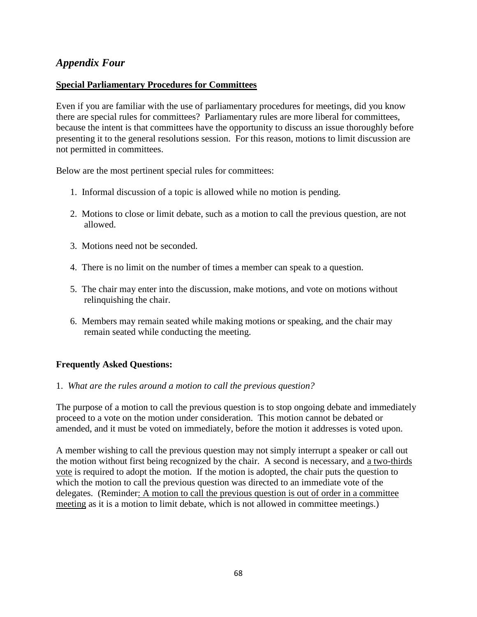## **Special Parliamentary Procedures for Committees**

Even if you are familiar with the use of parliamentary procedures for meetings, did you know there are special rules for committees? Parliamentary rules are more liberal for committees, because the intent is that committees have the opportunity to discuss an issue thoroughly before presenting it to the general resolutions session. For this reason, motions to limit discussion are not permitted in committees.

Below are the most pertinent special rules for committees:

- 1. Informal discussion of a topic is allowed while no motion is pending.
- 2. Motions to close or limit debate, such as a motion to call the previous question, are not allowed.
- 3. Motions need not be seconded.
- 4. There is no limit on the number of times a member can speak to a question.
- 5. The chair may enter into the discussion, make motions, and vote on motions without relinquishing the chair.
- 6. Members may remain seated while making motions or speaking, and the chair may remain seated while conducting the meeting.

## **Frequently Asked Questions:**

### 1. *What are the rules around a motion to call the previous question?*

The purpose of a motion to call the previous question is to stop ongoing debate and immediately proceed to a vote on the motion under consideration. This motion cannot be debated or amended, and it must be voted on immediately, before the motion it addresses is voted upon.

A member wishing to call the previous question may not simply interrupt a speaker or call out the motion without first being recognized by the chair. A second is necessary, and a two-thirds vote is required to adopt the motion. If the motion is adopted, the chair puts the question to which the motion to call the previous question was directed to an immediate vote of the delegates. (Reminder: A motion to call the previous question is out of order in a committee meeting as it is a motion to limit debate, which is not allowed in committee meetings.)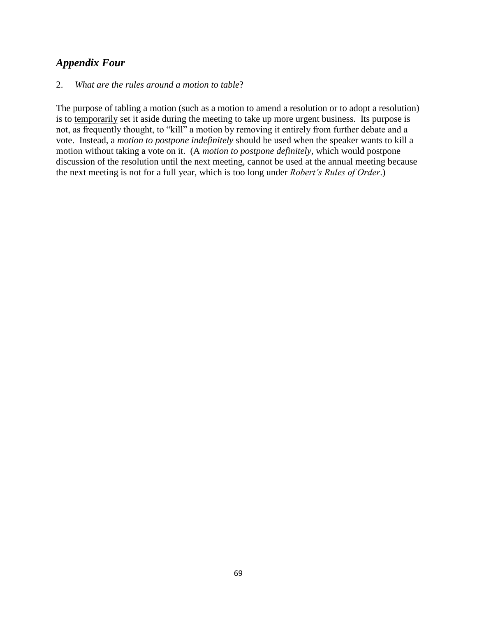### 2. *What are the rules around a motion to table*?

The purpose of tabling a motion (such as a motion to amend a resolution or to adopt a resolution) is to temporarily set it aside during the meeting to take up more urgent business. Its purpose is not, as frequently thought, to "kill" a motion by removing it entirely from further debate and a vote. Instead, a *motion to postpone indefinitely* should be used when the speaker wants to kill a motion without taking a vote on it. (A *motion to postpone definitely,* which would postpone discussion of the resolution until the next meeting, cannot be used at the annual meeting because the next meeting is not for a full year, which is too long under *Robert's Rules of Order*.)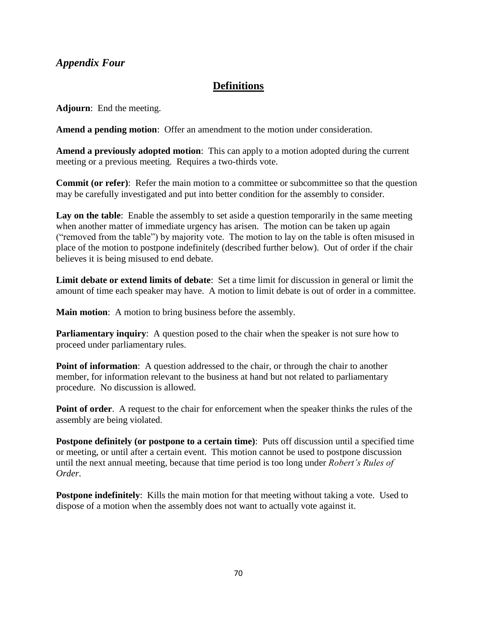# **Definitions**

**Adjourn**: End the meeting.

**Amend a pending motion**: Offer an amendment to the motion under consideration.

**Amend a previously adopted motion**: This can apply to a motion adopted during the current meeting or a previous meeting. Requires a two-thirds vote.

**Commit (or refer)**: Refer the main motion to a committee or subcommittee so that the question may be carefully investigated and put into better condition for the assembly to consider.

Lay on the table: Enable the assembly to set aside a question temporarily in the same meeting when another matter of immediate urgency has arisen. The motion can be taken up again ("removed from the table") by majority vote. The motion to lay on the table is often misused in place of the motion to postpone indefinitely (described further below). Out of order if the chair believes it is being misused to end debate.

**Limit debate or extend limits of debate**: Set a time limit for discussion in general or limit the amount of time each speaker may have. A motion to limit debate is out of order in a committee.

**Main motion**: A motion to bring business before the assembly.

**Parliamentary inquiry:** A question posed to the chair when the speaker is not sure how to proceed under parliamentary rules.

**Point of information**: A question addressed to the chair, or through the chair to another member, for information relevant to the business at hand but not related to parliamentary procedure. No discussion is allowed.

**Point of order**. A request to the chair for enforcement when the speaker thinks the rules of the assembly are being violated.

**Postpone definitely (or postpone to a certain time)**: Puts off discussion until a specified time or meeting, or until after a certain event. This motion cannot be used to postpone discussion until the next annual meeting, because that time period is too long under *Robert's Rules of Order*.

**Postpone indefinitely**: Kills the main motion for that meeting without taking a vote. Used to dispose of a motion when the assembly does not want to actually vote against it.